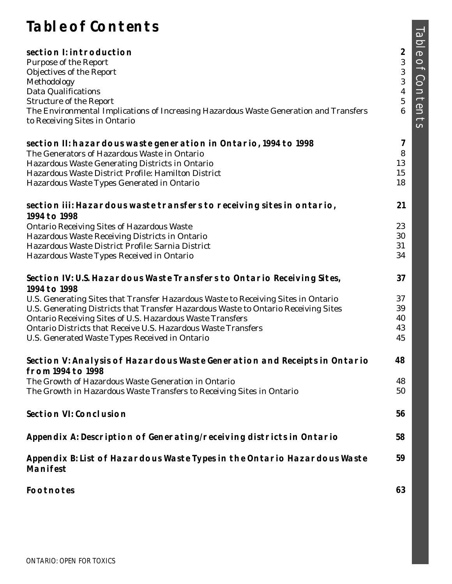# **Table of Contents**

| <b>SECTION I: INTRODUCTION</b>                                                                                         | $\overline{\mathbf{c}}$ |
|------------------------------------------------------------------------------------------------------------------------|-------------------------|
| <b>Purpose of the Report</b>                                                                                           | $\boldsymbol{3}$        |
| <b>Objectives of the Report</b>                                                                                        | $\boldsymbol{3}$        |
| Methodology                                                                                                            | $\boldsymbol{3}$        |
| <b>Data Qualifications</b>                                                                                             | $\boldsymbol{4}$        |
| <b>Structure of the Report</b>                                                                                         | $\bf 5$                 |
| The Environmental Implications of Increasing Hazardous Waste Generation and Transfers<br>to Receiving Sites in Ontario | $\boldsymbol{6}$        |
| SECTION II: HAZARDOUS WASTE GENERATION IN ONTARIO, 1994 TO 1998                                                        | 7                       |
| The Generators of Hazardous Waste in Ontario                                                                           | ${\bf 8}$               |
| Hazardous Waste Generating Districts in Ontario                                                                        | 13                      |
| Hazardous Waste District Profile: Hamilton District                                                                    | 15                      |
| Hazardous Waste Types Generated in Ontario                                                                             | 18                      |
| SECTION III: HAZARDOUS WASTE TRANSFERS TO RECEIVING SITES IN ONTARIO,<br>1994 TO 1998                                  | 21                      |
| <b>Ontario Receiving Sites of Hazardous Waste</b>                                                                      | 23                      |
| Hazardous Waste Receiving Districts in Ontario                                                                         | 30                      |
| Hazardous Waste District Profile: Sarnia District                                                                      | 31                      |
| Hazardous Waste Types Received in Ontario                                                                              | 34                      |
| SECTION IV: U.S. HAZARDOUS WASTE TRANSFERS TO ONTARIO RECEIVING SITES,<br>1994 TO 1998                                 | 37                      |
| U.S. Generating Sites that Transfer Hazardous Waste to Receiving Sites in Ontario                                      | 37                      |
| U.S. Generating Districts that Transfer Hazardous Waste to Ontario Receiving Sites                                     | 39                      |
| <b>Ontario Receiving Sites of U.S. Hazardous Waste Transfers</b>                                                       | 40                      |
| Ontario Districts that Receive U.S. Hazardous Waste Transfers                                                          | 43                      |
| U.S. Generated Waste Types Received in Ontario                                                                         | 45                      |
| SECTION V: ANALYSIS OF HAZARDOUS WASTE GENERATION AND RECEIPTS IN ONTARIO<br><b>FROM 1994 TO 1998</b>                  | 48                      |
| The Growth of Hazardous Waste Generation in Ontario                                                                    | 48                      |
| The Growth in Hazardous Waste Transfers to Receiving Sites in Ontario                                                  | 50                      |
| <b>SECTION VI: CONCLUSION</b>                                                                                          | 56                      |
| APPENDIX A: DESCRIPTION OF GENERATING/RECEIVING DISTRICTS IN ONTARIO                                                   | 58                      |
| APPENDIX B: LIST OF HAZARDOUS WASTE TYPES IN THE ONTARIO HAZARDOUS WASTE<br><b>MANIFEST</b>                            | 59                      |
| <b>FOOTNOTES</b>                                                                                                       | 63                      |

TABLE OF CONTENTS Table of Contents TABLE OF CONTENTS

**63**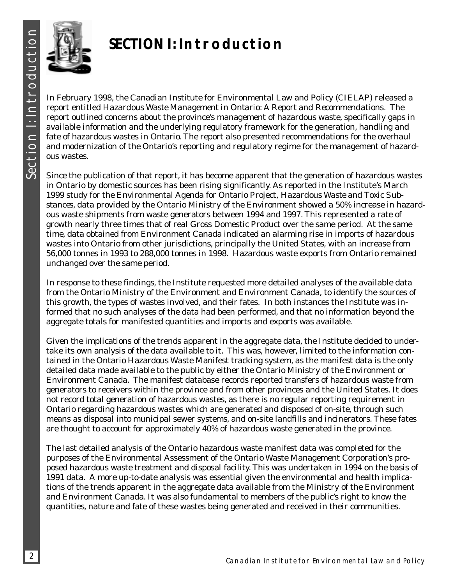

# **SECTION I: Introduction**

In February 1998, the Canadian Institute for Environmental Law and Policy (CIELAP) released a report entitled *Hazardous Waste Management in Ontario: A Report and Recommendations*. The report outlined concerns about the province's management of hazardous waste, specifically gaps in available information and the underlying regulatory framework for the generation, handling and fate of hazardous wastes in Ontario. The report also presented recommendations for the overhaul and modernization of the Ontario's reporting and regulatory regime for the management of hazardous wastes.

Since the publication of that report, it has become apparent that the generation of hazardous wastes in Ontario by domestic sources has been rising significantly. As reported in the Institute's March 1999 study for the Environmental Agenda for Ontario Project, *Hazardous Waste and Toxic Substances*, data provided by the Ontario Ministry of the Environment showed a 50% increase in hazardous waste shipments from waste generators between 1994 and 1997. This represented a rate of growth nearly three times that of real Gross Domestic Product over the same period. At the same time, data obtained from Environment Canada indicated an alarming rise in imports of hazardous wastes into Ontario from other jurisdictions, principally the United States, with an increase from 56,000 tonnes in 1993 to 288,000 tonnes in 1998. Hazardous waste exports from Ontario remained unchanged over the same period.

In response to these findings, the Institute requested more detailed analyses of the available data from the Ontario Ministry of the Environment and Environment Canada, to identify the sources of this growth, the types of wastes involved, and their fates. In both instances the Institute was informed that no such analyses of the data had been performed, and that no information beyond the aggregate totals for manifested quantities and imports and exports was available.

Given the implications of the trends apparent in the aggregate data, the Institute decided to undertake its own analysis of the data available to it. This was, however, limited to the information contained in the Ontario Hazardous Waste Manifest tracking system, as the manifest data is the only detailed data made available to the public by either the Ontario Ministry of the Environment or Environment Canada. The manifest database records reported transfers of hazardous waste from generators to receivers within the province and from other provinces and the United States. It does not record total generation of hazardous wastes, as there is no regular reporting requirement in Ontario regarding hazardous wastes which are generated and disposed of on-site, through such means as disposal into municipal sewer systems, and on-site landfills and incinerators. These fates are thought to account for approximately 40% of hazardous waste generated in the province.

The last detailed analysis of the Ontario hazardous waste manifest data was completed for the purposes of the Environmental Assessment of the Ontario Waste Management Corporation's proposed hazardous waste treatment and disposal facility. This was undertaken in 1994 on the basis of 1991 data. A more up-to-date analysis was essential given the environmental and health implications of the trends apparent in the aggregate data available from the Ministry of the Environment and Environment Canada. It was also fundamental to members of the public's right to know the quantities, nature and fate of these wastes being generated and received in their communities.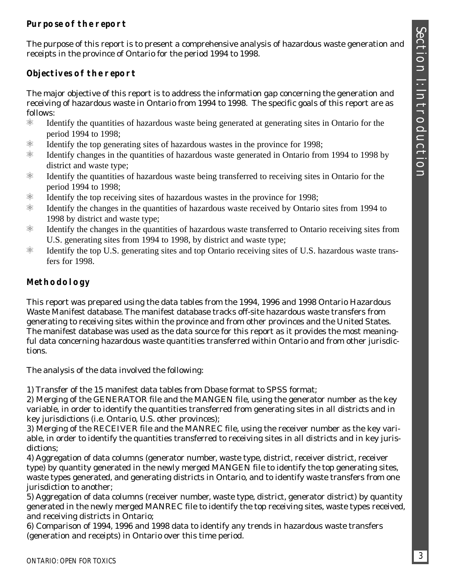### **Purpose of the report**

The purpose of this report is to present a comprehensive analysis of hazardous waste generation and receipts in the province of Ontario for the period 1994 to 1998.

## **Objectives of the report**

The major objective of this report is to address the information gap concerning the generation and receiving of hazardous waste in Ontario from 1994 to 1998. The specific goals of this report are as follows:

- $\%$  Identify the quantities of hazardous waste being generated at generating sites in Ontario for the period 1994 to 1998;
- $\%$  Identify the top generating sites of hazardous wastes in the province for 1998;
- $\%$  Identify changes in the quantities of hazardous waste generated in Ontario from 1994 to 1998 by district and waste type;
- $\frac{1}{100}$  Identify the quantities of hazardous waste being transferred to receiving sites in Ontario for the period 1994 to 1998;
- $\%$  Identify the top receiving sites of hazardous wastes in the province for 1998;
- $\%$  Identify the changes in the quantities of hazardous waste received by Ontario sites from 1994 to 1998 by district and waste type;
- $\%$  Identify the changes in the quantities of hazardous waste transferred to Ontario receiving sites from U.S. generating sites from 1994 to 1998, by district and waste type;
- $\frac{1}{2}$  Identify the top U.S. generating sites and top Ontario receiving sites of U.S. hazardous waste transfers for 1998.

### **Methodology**

This report was prepared using the data tables from the 1994, 1996 and 1998 Ontario Hazardous Waste Manifest database. The manifest database tracks off-site hazardous waste transfers from generating to receiving sites within the province and from other provinces and the United States. The manifest database was used as the data source for this report as it provides the most meaningful data concerning hazardous waste quantities transferred within Ontario and from other jurisdictions.

The analysis of the data involved the following:

1) Transfer of the 15 manifest data tables from Dbase format to SPSS format;

2) Merging of the GENERATOR file and the MANGEN file, using the generator number as the key variable, in order to identify the quantities transferred from generating sites in all districts and in key jurisdictions (i.e. Ontario, U.S. other provinces);

3) Merging of the RECEIVER file and the MANREC file, using the receiver number as the key variable, in order to identify the quantities transferred to receiving sites in all districts and in key jurisdictions;

4) Aggregation of data columns (generator number, waste type, district, receiver district, receiver type) by quantity generated in the newly merged MANGEN file to identify the top generating sites, waste types generated, and generating districts in Ontario, and to identify waste transfers from one jurisdiction to another;

5) Aggregation of data columns (receiver number, waste type, district, generator district) by quantity generated in the newly merged MANREC file to identify the top receiving sites, waste types received, and receiving districts in Ontario;

6) Comparison of 1994, 1996 and 1998 data to identify any trends in hazardous waste transfers (generation and receipts) in Ontario over this time period.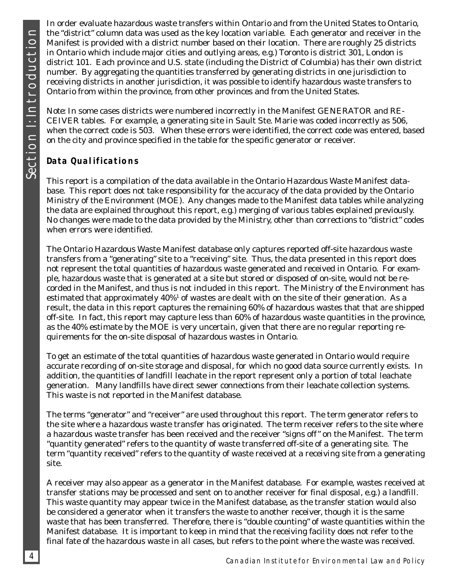SECTION I: INTRODUCTION Section I: Introduction

In order evaluate hazardous waste transfers within Ontario and from the United States to Ontario, the "district" column data was used as the key location variable. Each generator and receiver in the Manifest is provided with a district number based on their location. There are roughly 25 districts in Ontario which include major cities and outlying areas, e.g.) Toronto is district 301, London is district 101. Each province and U.S. state (including the District of Columbia) has their own district number. By aggregating the quantities transferred by generating districts in one jurisdiction to receiving districts in another jurisdiction, it was possible to identify hazardous waste transfers to Ontario from within the province, from other provinces and from the United States.

*Note*: In some cases districts were numbered incorrectly in the Manifest GENERATOR and RE-CEIVER tables. For example, a generating site in Sault Ste. Marie was coded incorrectly as 506, when the correct code is 503. When these errors were identified, the correct code was entered, based on the city and province specified in the table for the specific generator or receiver.

## **Data Qualifications**

This report is a compilation of the data available in the Ontario Hazardous Waste Manifest database. This report does not take responsibility for the accuracy of the data provided by the Ontario Ministry of the Environment (MOE). Any changes made to the Manifest data tables while analyzing the data are explained throughout this report, e.g.) merging of various tables explained previously. No changes were made to the data provided by the Ministry, other than corrections to "district" codes when errors were identified.

The Ontario Hazardous Waste Manifest database only captures reported off-site hazardous waste transfers from a "generating" site to a "receiving" site. Thus, the data presented in this report does not represent the total quantities of hazardous waste generated and received in Ontario. For example, hazardous waste that is generated at a site but stored or disposed of on-site, would not be recorded in the Manifest, and thus is not included in this report. The Ministry of the Environment has estimated that approximately 40% $^{\rm t}$  of wastes are dealt with on the site of their generation. As a result, the data in this report captures the remaining 60% of hazardous wastes that that are shipped off-site. In fact, this report may capture less than 60% of hazardous waste quantities in the province, as the 40% estimate by the MOE is very uncertain, given that there are no regular reporting requirements for the on-site disposal of hazardous wastes in Ontario.

To get an estimate of the total quantities of hazardous waste generated in Ontario would require accurate recording of on-site storage and disposal, for which no good data source currently exists. In addition, the quantities of landfill leachate in the report represent only a portion of total leachate generation. Many landfills have direct sewer connections from their leachate collection systems. This waste is not reported in the Manifest database.

The terms "generator" and "receiver" are used throughout this report. The term generator refers to the site where a hazardous waste transfer has originated. The term receiver refers to the site where a hazardous waste transfer has been received and the receiver "signs off" on the Manifest. The term "quantity generated" refers to the quantity of waste transferred off-site of a generating site. The term "quantity received" refers to the quantity of waste received at a receiving site from a generating site.

A receiver may also appear as a generator in the Manifest database. For example, wastes received at transfer stations may be processed and sent on to another receiver for final disposal, e.g.) a landfill. This waste quantity may appear twice in the Manifest database, as the transfer station would also be considered a generator when it transfers the waste to another receiver, though it is the same waste that has been transferred. Therefore, there is "double counting" of waste quantities within the Manifest database. It is important to keep in mind that the receiving facility does not refer to the final fate of the hazardous waste in all cases, but refers to the point where the waste was received.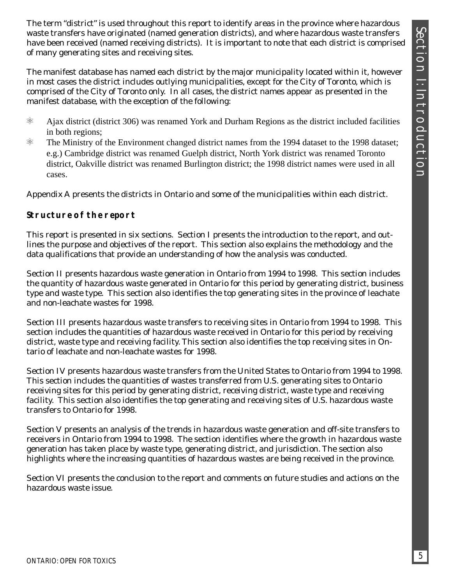The term "district" is used throughout this report to identify areas in the province where hazardous waste transfers have originated (named generation districts), and where hazardous waste transfers have been received (named receiving districts). It is important to note that each district is comprised of many generating sites and receiving sites.

The manifest database has named each district by the major municipality located within it, however in most cases the district includes outlying municipalities, except for the City of Toronto, which is comprised of the City of Toronto only. In all cases, the district names appear as presented in the manifest database, with the exception of the following:

- $\frac{1}{100}$  Ajax district (district 306) was renamed York and Durham Regions as the district included facilities in both regions;
- $\%$  The Ministry of the Environment changed district names from the 1994 dataset to the 1998 dataset; e.g.) Cambridge district was renamed Guelph district, North York district was renamed Toronto district, Oakville district was renamed Burlington district; the 1998 district names were used in all cases.

Appendix A presents the districts in Ontario and some of the municipalities within each district.

### **Structure of the report**

This report is presented in six sections. Section I presents the introduction to the report, and outlines the purpose and objectives of the report. This section also explains the methodology and the data qualifications that provide an understanding of how the analysis was conducted.

Section II presents hazardous waste generation in Ontario from 1994 to 1998. This section includes the quantity of hazardous waste generated in Ontario for this period by generating district, business type and waste type. This section also identifies the top generating sites in the province of leachate and non-leachate wastes for 1998.

Section III presents hazardous waste transfers to receiving sites in Ontario from 1994 to 1998. This section includes the quantities of hazardous waste received in Ontario for this period by receiving district, waste type and receiving facility. This section also identifies the top receiving sites in Ontario of leachate and non-leachate wastes for 1998.

Section IV presents hazardous waste transfers from the United States to Ontario from 1994 to 1998. This section includes the quantities of wastes transferred from U.S. generating sites to Ontario receiving sites for this period by generating district, receiving district, waste type and receiving facility. This section also identifies the top generating and receiving sites of U.S. hazardous waste transfers to Ontario for 1998.

Section V presents an analysis of the trends in hazardous waste generation and off-site transfers to receivers in Ontario from 1994 to 1998. The section identifies where the growth in hazardous waste generation has taken place by waste type, generating district, and jurisdiction. The section also highlights where the increasing quantities of hazardous wastes are being received in the province.

Section VI presents the conclusion to the report and comments on future studies and actions on the hazardous waste issue.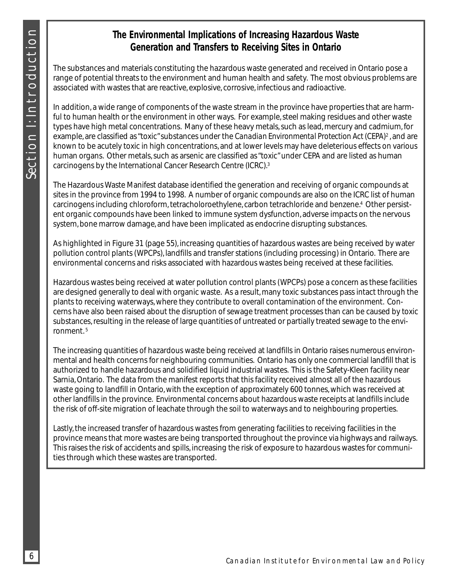## **The Environmental Implications of Increasing Hazardous Waste Generation and Transfers to Receiving Sites in Ontario**

The substances and materials constituting the hazardous waste generated and received in Ontario pose a range of potential threats to the environment and human health and safety. The most obvious problems are associated with wastes that are reactive, explosive, corrosive, infectious and radioactive.

In addition, a wide range of components of the waste stream in the province have properties that are harmful to human health or the environment in other ways. For example, steel making residues and other waste types have high metal concentrations. Many of these heavy metals, such as lead, mercury and cadmium, for example, are classified as "toxic" substances under the *Canadian Environmental Protection Act (CEPA)*<sup>2</sup> , and are known to be acutely toxic in high concentrations, and at lower levels may have deleterious effects on various human organs. Other metals, such as arsenic are classified as "toxic" under CEPA and are listed as human carcinogens by the International Cancer Research Centre (ICRC).3

The Hazardous Waste Manifest database identified the generation and receiving of organic compounds at sites in the province from 1994 to 1998. A number of organic compounds are also on the ICRC list of human carcinogens including chloroform, tetracholoroethylene, carbon tetrachloride and benzene.4 Other persistent organic compounds have been linked to immune system dysfunction, adverse impacts on the nervous system, bone marrow damage, and have been implicated as endocrine disrupting substances.

As highlighted in Figure 31 (page 55), increasing quantities of hazardous wastes are being received by water pollution control plants (WPCPs), landfills and transfer stations (including processing) in Ontario. There are environmental concerns and risks associated with hazardous wastes being received at these facilities.

Hazardous wastes being received at water pollution control plants (WPCPs) pose a concern as these facilities are designed generally to deal with organic waste. As a result, many toxic substances pass intact through the plants to receiving waterways, where they contribute to overall contamination of the environment. Concerns have also been raised about the disruption of sewage treatment processes than can be caused by toxic substances, resulting in the release of large quantities of untreated or partially treated sewage to the environment. 5

The increasing quantities of hazardous waste being received at landfills in Ontario raises numerous environmental and health concerns for neighbouring communities. Ontario has only one commercial landfill that is authorized to handle hazardous and solidified liquid industrial wastes. This is the Safety-Kleen facility near Sarnia, Ontario. The data from the manifest reports that this facility received almost all of the hazardous waste going to landfill in Ontario, with the exception of approximately 600 tonnes, which was received at other landfills in the province. Environmental concerns about hazardous waste receipts at landfills include the risk of off-site migration of leachate through the soil to waterways and to neighbouring properties.

Lastly, the increased transfer of hazardous wastes from generating facilities to receiving facilities in the province means that more wastes are being transported throughout the province via highways and railways. This raises the risk of accidents and spills, increasing the risk of exposure to hazardous wastes for communities through which these wastes are transported.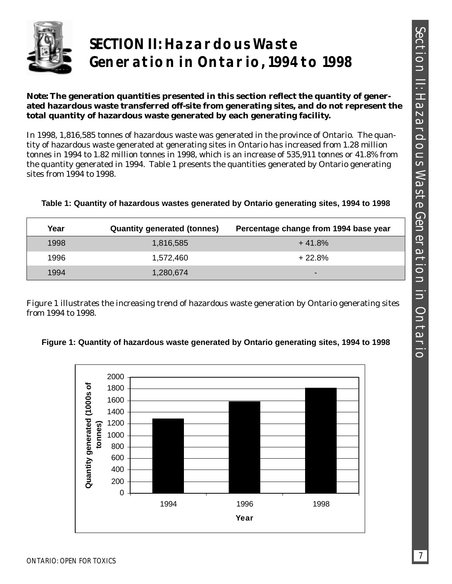

# **SECTION II: Hazardous Waste Generation in Ontario, 1994 to 1998**

#### *Note***: The generation quantities presented in this section reflect the quantity of generated hazardous waste transferred off-site from generating sites, and do not represent the total quantity of hazardous waste generated by each generating facility.**

In 1998, 1,816,585 tonnes of hazardous waste was generated in the province of Ontario. The quantity of hazardous waste generated at generating sites in Ontario has increased from 1.28 million tonnes in 1994 to 1.82 million tonnes in 1998, which is an increase of 535,911 tonnes or 41.8% from the quantity generated in 1994. Table 1 presents the quantities generated by Ontario generating sites from 1994 to 1998.

| Table 1: Quantity of hazardous wastes generated by Ontario generating sites, 1994 to 1998 |  |  |  |  |  |  |  |  |
|-------------------------------------------------------------------------------------------|--|--|--|--|--|--|--|--|
|-------------------------------------------------------------------------------------------|--|--|--|--|--|--|--|--|

| Year | <b>Quantity generated (tonnes)</b> | Percentage change from 1994 base year |
|------|------------------------------------|---------------------------------------|
| 1998 | 1,816,585                          | $+41.8%$                              |
| 1996 | 1,572,460                          | $+22.8%$                              |
| 1994 | 1,280,674                          |                                       |

Figure 1 illustrates the increasing trend of hazardous waste generation by Ontario generating sites from 1994 to 1998.



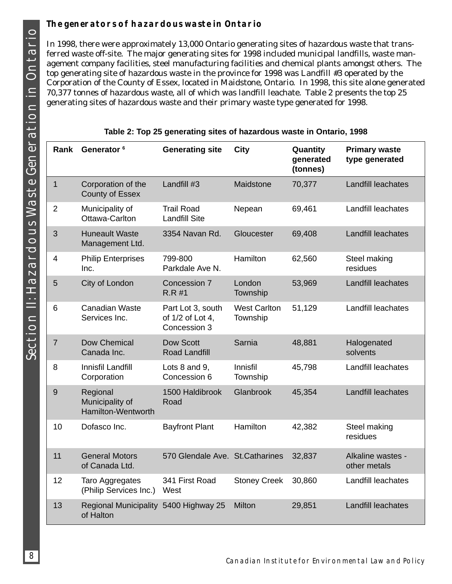## **The generators of hazardous waste in Ontario**

In 1998, there were approximately 13,000 Ontario generating sites of hazardous waste that transferred waste off-site. The major generating sites for 1998 included municipal landfills, waste management company facilities, steel manufacturing facilities and chemical plants amongst others. The top generating site of hazardous waste in the province for 1998 was Landfill #3 operated by the Corporation of the County of Essex, located in Maidstone, Ontario. In 1998, this site alone generated 70,377 tonnes of hazardous waste, all of which was landfill leachate. Table 2 presents the top 25 generating sites of hazardous waste and their primary waste type generated for 1998.

| <b>Rank</b>    | Generator <sup>6</sup>                             | <b>Generating site</b>                                | City                            | Quantity<br>generated<br>(tonnes) | <b>Primary waste</b><br>type generated |
|----------------|----------------------------------------------------|-------------------------------------------------------|---------------------------------|-----------------------------------|----------------------------------------|
| $\mathbf{1}$   | Corporation of the<br><b>County of Essex</b>       | Landfill #3                                           | Maidstone                       | 70,377                            | Landfill leachates                     |
| $\overline{2}$ | Municipality of<br>Ottawa-Carlton                  | <b>Trail Road</b><br><b>Landfill Site</b>             | Nepean                          | 69,461                            | Landfill leachates                     |
| 3              | <b>Huneault Waste</b><br>Management Ltd.           | 3354 Navan Rd.                                        | Gloucester                      | 69,408                            | <b>Landfill leachates</b>              |
| 4              | <b>Philip Enterprises</b><br>Inc.                  | 799-800<br>Parkdale Ave N.                            | Hamilton                        | 62,560                            | Steel making<br>residues               |
| 5              | City of London                                     | Concession 7<br>$R.R$ #1                              | London<br>Township              | 53,969                            | Landfill leachates                     |
| 6              | <b>Canadian Waste</b><br>Services Inc.             | Part Lot 3, south<br>of 1/2 of Lot 4,<br>Concession 3 | <b>West Carlton</b><br>Township | 51,129                            | Landfill leachates                     |
| $\overline{7}$ | Dow Chemical<br>Canada Inc.                        | <b>Dow Scott</b><br><b>Road Landfill</b>              | Sarnia                          | 48,881                            | Halogenated<br>solvents                |
| 8              | Innisfil Landfill<br>Corporation                   | Lots 8 and 9,<br>Concession 6                         | Innisfil<br>Township            | 45,798                            | Landfill leachates                     |
| 9              | Regional<br>Municipality of<br>Hamilton-Wentworth  | 1500 Haldibrook<br>Road                               | Glanbrook                       | 45,354                            | <b>Landfill leachates</b>              |
| 10             | Dofasco Inc.                                       | <b>Bayfront Plant</b>                                 | Hamilton                        | 42,382                            | Steel making<br>residues               |
| 11             | <b>General Motors</b><br>of Canada Ltd.            | 570 Glendale Ave. St.Catharines                       |                                 | 32,837                            | Alkaline wastes -<br>other metals      |
| 12             | Taro Aggregates<br>(Philip Services Inc.)          | 341 First Road<br>West                                | <b>Stoney Creek</b>             | 30,860                            | Landfill leachates                     |
| 13             | Regional Municipality 5400 Highway 25<br>of Halton |                                                       | Milton                          | 29,851                            | Landfill leachates                     |

| Table 2: Top 25 generating sites of hazardous waste in Ontario, 1998 |  |  |  |  |  |  |
|----------------------------------------------------------------------|--|--|--|--|--|--|
|----------------------------------------------------------------------|--|--|--|--|--|--|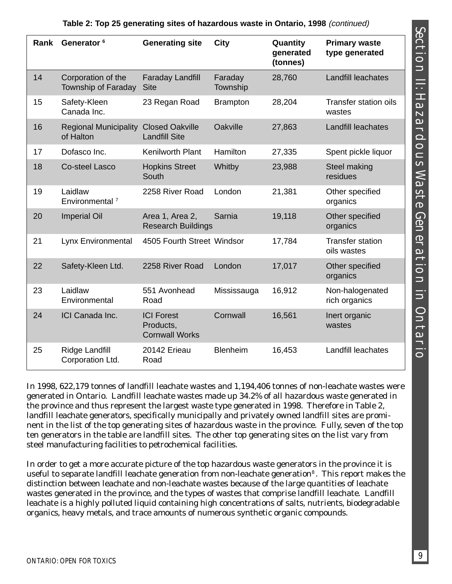| Rank | Generator <sup>6</sup>                    | <b>Generating site</b>                                  | <b>City</b>         | Quantity<br>generated<br>(tonnes) | <b>Primary waste</b><br>type generated |
|------|-------------------------------------------|---------------------------------------------------------|---------------------|-----------------------------------|----------------------------------------|
| 14   | Corporation of the<br>Township of Faraday | <b>Faraday Landfill</b><br><b>Site</b>                  | Faraday<br>Township | 28,760                            | Landfill leachates                     |
| 15   | Safety-Kleen<br>Canada Inc.               | 23 Regan Road                                           | <b>Brampton</b>     | 28,204                            | <b>Transfer station oils</b><br>wastes |
| 16   | <b>Regional Municipality</b><br>of Halton | <b>Closed Oakville</b><br><b>Landfill Site</b>          | Oakville            | 27,863                            | Landfill leachates                     |
| 17   | Dofasco Inc.                              | <b>Kenilworth Plant</b>                                 | Hamilton            | 27,335                            | Spent pickle liquor                    |
| 18   | <b>Co-steel Lasco</b>                     | <b>Hopkins Street</b><br>South                          | Whitby              | 23,988                            | Steel making<br>residues               |
| 19   | Laidlaw<br>Environmental <sup>7</sup>     | 2258 River Road                                         | London              | 21,381                            | Other specified<br>organics            |
| 20   | <b>Imperial Oil</b>                       | Area 1, Area 2,<br><b>Research Buildings</b>            | Sarnia              | 19,118                            | Other specified<br>organics            |
| 21   | Lynx Environmental                        | 4505 Fourth Street Windsor                              |                     | 17,784                            | <b>Transfer station</b><br>oils wastes |
| 22   | Safety-Kleen Ltd.                         | 2258 River Road                                         | London              | 17,017                            | Other specified<br>organics            |
| 23   | Laidlaw<br>Environmental                  | 551 Avonhead<br>Road                                    | Mississauga         | 16,912                            | Non-halogenated<br>rich organics       |
| 24   | ICI Canada Inc.                           | <b>ICI Forest</b><br>Products,<br><b>Cornwall Works</b> | Cornwall            | 16,561                            | Inert organic<br>wastes                |
| 25   | Ridge Landfill<br>Corporation Ltd.        | 20142 Erieau<br>Road                                    | <b>Blenheim</b>     | 16,453                            | Landfill leachates                     |

### **Table 2: Top 25 generating sites of hazardous waste in Ontario, 1998** (continued)

In 1998, 622,179 tonnes of landfill leachate wastes and 1,194,406 tonnes of non-leachate wastes were generated in Ontario. Landfill leachate wastes made up 34.2% of all hazardous waste generated in the province and thus represent the largest waste type generated in 1998. Therefore in Table 2, landfill leachate generators, specifically municipally and privately owned landfill sites are prominent in the list of the top generating sites of hazardous waste in the province. Fully, seven of the top ten generators in the table are landfill sites. The other top generating sites on the list vary from steel manufacturing facilities to petrochemical facilities.

In order to get a more accurate picture of the top hazardous waste generators in the province it is useful to separate landfill leachate generation from non-leachate generation<sup>8</sup>. This report makes the distinction between leachate and non-leachate wastes because of the large quantities of leachate wastes generated in the province, and the types of wastes that comprise landfill leachate. Landfill leachate is a highly polluted liquid containing high concentrations of salts, nutrients, biodegradable organics, heavy metals, and trace amounts of numerous synthetic organic compounds.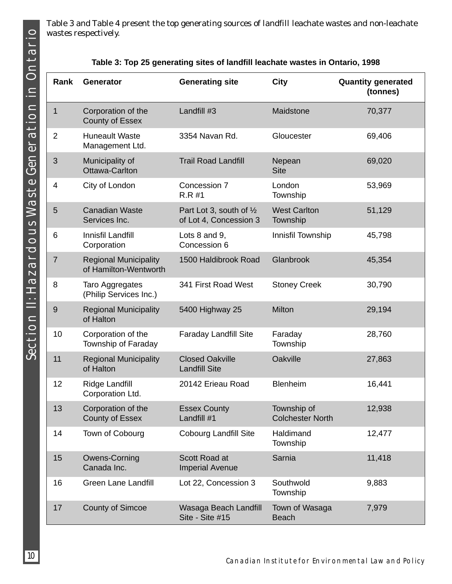Table 3 and Table 4 present the top generating sources of landfill leachate wastes and non-leachate wastes respectively.

|  |  |  | Table 3: Top 25 generating sites of landfill leachate wastes in Ontario, 1998 |  |
|--|--|--|-------------------------------------------------------------------------------|--|
|--|--|--|-------------------------------------------------------------------------------|--|

| Rank           | <b>Generator</b>                                      | <b>Generating site</b>                                       | <b>City</b>                            | <b>Quantity generated</b><br>(tonnes) |
|----------------|-------------------------------------------------------|--------------------------------------------------------------|----------------------------------------|---------------------------------------|
| 1              | Corporation of the<br><b>County of Essex</b>          | Landfill #3                                                  | Maidstone                              | 70,377                                |
| $\overline{2}$ | <b>Huneault Waste</b><br>Management Ltd.              | 3354 Navan Rd.                                               | Gloucester                             | 69,406                                |
| 3              | Municipality of<br><b>Ottawa-Carlton</b>              | <b>Trail Road Landfill</b>                                   | Nepean<br><b>Site</b>                  | 69,020                                |
| 4              | City of London                                        | Concession 7<br>$R.R$ #1                                     | London<br>Township                     | 53,969                                |
| 5              | <b>Canadian Waste</b><br>Services Inc.                | Part Lot 3, south of $\frac{1}{2}$<br>of Lot 4, Concession 3 | <b>West Carlton</b><br>Township        | 51,129                                |
| 6              | Innisfil Landfill<br>Corporation                      | Lots 8 and 9,<br>Concession 6                                | Innisfil Township                      | 45,798                                |
| $\overline{7}$ | <b>Regional Municipality</b><br>of Hamilton-Wentworth | 1500 Haldibrook Road                                         | Glanbrook                              | 45,354                                |
| 8              | Taro Aggregates<br>(Philip Services Inc.)             | 341 First Road West                                          | <b>Stoney Creek</b>                    | 30,790                                |
| 9              | <b>Regional Municipality</b><br>of Halton             | 5400 Highway 25                                              | Milton                                 | 29,194                                |
| 10             | Corporation of the<br>Township of Faraday             | <b>Faraday Landfill Site</b>                                 | Faraday<br>Township                    | 28,760                                |
| 11             | <b>Regional Municipality</b><br>of Halton             | <b>Closed Oakville</b><br><b>Landfill Site</b>               | Oakville                               | 27,863                                |
| 12             | <b>Ridge Landfill</b><br>Corporation Ltd.             | 20142 Erieau Road                                            | <b>Blenheim</b>                        | 16,441                                |
| 13             | Corporation of the<br><b>County of Essex</b>          | <b>Essex County</b><br>Landfill #1                           | Township of<br><b>Colchester North</b> | 12,938                                |
| 14             | Town of Cobourg                                       | <b>Cobourg Landfill Site</b>                                 | Haldimand<br>Township                  | 12,477                                |
| 15             | Owens-Corning<br>Canada Inc.                          | Scott Road at<br><b>Imperial Avenue</b>                      | Sarnia                                 | 11,418                                |
| 16             | <b>Green Lane Landfill</b>                            | Lot 22, Concession 3                                         | Southwold<br>Township                  | 9,883                                 |
| 17             | <b>County of Simcoe</b>                               | Wasaga Beach Landfill<br>Site - Site #15                     | Town of Wasaga<br><b>Beach</b>         | 7,979                                 |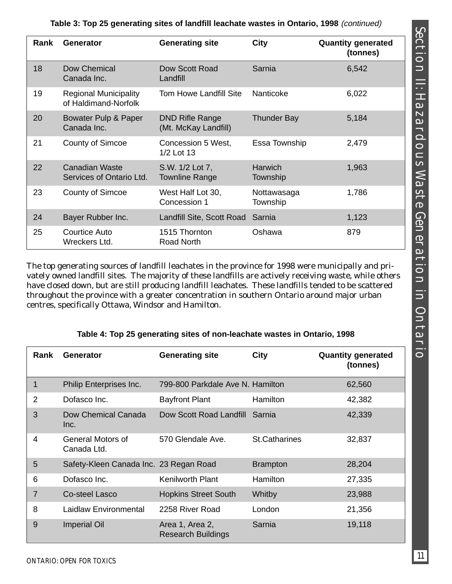| Rank | <b>Generator</b>                                     | <b>Generating site</b>                         | <b>City</b>                | <b>Quantity generated</b><br>(tonnes) |
|------|------------------------------------------------------|------------------------------------------------|----------------------------|---------------------------------------|
| 18   | Dow Chemical<br>Canada Inc.                          | Dow Scott Road<br>Landfill                     | Sarnia                     | 6,542                                 |
| 19   | <b>Regional Municipality</b><br>of Haldimand-Norfolk | <b>Tom Howe Landfill Site</b>                  | Nanticoke                  | 6,022                                 |
| 20   | Bowater Pulp & Paper<br>Canada Inc.                  | <b>DND Rifle Range</b><br>(Mt. McKay Landfill) | <b>Thunder Bay</b>         | 5,184                                 |
| 21   | <b>County of Simcoe</b>                              | Concession 5 West,<br>1/2 Lot 13               | Essa Township              | 2,479                                 |
| 22   | Canadian Waste<br>Services of Ontario Ltd.           | S.W. 1/2 Lot 7,<br><b>Townline Range</b>       | <b>Harwich</b><br>Township | 1,963                                 |
| 23   | <b>County of Simcoe</b>                              | West Half Lot 30,<br>Concession 1              | Nottawasaga<br>Township    | 1,786                                 |
| 24   | Bayer Rubber Inc.                                    | Landfill Site, Scott Road                      | Sarnia                     | 1,123                                 |
| 25   | <b>Courtice Auto</b><br>Wreckers Ltd.                | 1515 Thornton<br>Road North                    | Oshawa                     | 879                                   |

**Table 3: Top 25 generating sites of landfill leachate wastes in Ontario, 1998** (continued)

The top generating sources of landfill leachates in the province for 1998 were municipally and privately owned landfill sites. The majority of these landfills are actively receiving waste, while others have closed down, but are still producing landfill leachates. These landfills tended to be scattered throughout the province with a greater concentration in southern Ontario around major urban centres, specifically Ottawa, Windsor and Hamilton.

| Rank | <b>Generator</b>                       | <b>Generating site</b>                       | <b>City</b>          | <b>Quantity generated</b><br>(tonnes) |
|------|----------------------------------------|----------------------------------------------|----------------------|---------------------------------------|
| 1    | Philip Enterprises Inc.                | 799-800 Parkdale Ave N. Hamilton             |                      | 62,560                                |
| 2    | Dofasco Inc.                           | <b>Bayfront Plant</b>                        | Hamilton             | 42,382                                |
| 3    | Dow Chemical Canada<br>Inc.            | Dow Scott Road Landfill                      | Sarnia               | 42,339                                |
| 4    | General Motors of<br>Canada Ltd.       | 570 Glendale Ave.                            | <b>St.Catharines</b> | 32,837                                |
| 5    | Safety-Kleen Canada Inc. 23 Regan Road |                                              | <b>Brampton</b>      | 28,204                                |
| 6    | Dofasco Inc.                           | <b>Kenilworth Plant</b>                      | Hamilton             | 27,335                                |
| 7    | Co-steel Lasco                         | <b>Hopkins Street South</b>                  | Whitby               | 23,988                                |
| 8    | Laidlaw Environmental                  | 2258 River Road                              | London               | 21,356                                |
| 9    | <b>Imperial Oil</b>                    | Area 1, Area 2,<br><b>Research Buildings</b> | Sarnia               | 19,118                                |

### **Table 4: Top 25 generating sites of non-leachate wastes in Ontario, 1998**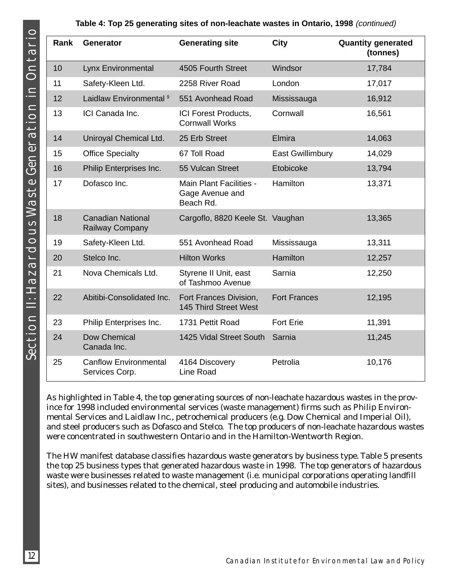#### **Table 4: Top 25 generating sites of non-leachate wastes in Ontario, 1998** (continued)

| Rank | <b>Generator</b>                               | <b>Generating site</b>                                  | <b>City</b>             | <b>Quantity generated</b><br>(tonnes) |
|------|------------------------------------------------|---------------------------------------------------------|-------------------------|---------------------------------------|
| 10   | <b>Lynx Environmental</b>                      | 4505 Fourth Street                                      | Windsor                 | 17,784                                |
| 11   | Safety-Kleen Ltd.                              | 2258 River Road                                         | London                  | 17,017                                |
| 12   | Laidlaw Environmental <sup>9</sup>             | 551 Avonhead Road                                       | Mississauga             | 16,912                                |
| 13   | ICI Canada Inc.                                | ICI Forest Products,<br><b>Cornwall Works</b>           | Cornwall                | 16,561                                |
| 14   | Uniroyal Chemical Ltd.                         | 25 Erb Street                                           | Elmira                  | 14,063                                |
| 15   | <b>Office Specialty</b>                        | 67 Toll Road                                            | <b>East Gwillimbury</b> | 14,029                                |
| 16   | Philip Enterprises Inc.                        | 55 Vulcan Street                                        | Etobicoke               | 13,794                                |
| 17   | Dofasco Inc.                                   | Main Plant Facilities -<br>Gage Avenue and<br>Beach Rd. | Hamilton                | 13,371                                |
| 18   | <b>Canadian National</b><br>Railway Company    | Cargoflo, 8820 Keele St. Vaughan                        |                         | 13,365                                |
| 19   | Safety-Kleen Ltd.                              | 551 Avonhead Road                                       | Mississauga             | 13,311                                |
| 20   | Stelco Inc.                                    | <b>Hilton Works</b>                                     | <b>Hamilton</b>         | 12,257                                |
| 21   | Nova Chemicals Ltd.                            | Styrene II Unit, east<br>of Tashmoo Avenue              | Sarnia                  | 12,250                                |
| 22   | Abitibi-Consolidated Inc.                      | Fort Frances Division,<br>145 Third Street West         | <b>Fort Frances</b>     | 12,195                                |
| 23   | Philip Enterprises Inc.                        | 1731 Pettit Road                                        | <b>Fort Erie</b>        | 11,391                                |
| 24   | Dow Chemical<br>Canada Inc.                    | 1425 Vidal Street South                                 | Sarnia                  | 11,245                                |
| 25   | <b>Canflow Environmental</b><br>Services Corp. | 4164 Discovery<br>Line Road                             | Petrolia                | 10,176                                |

As highlighted in Table 4, the top generating sources of non-leachate hazardous wastes in the province for 1998 included environmental services (waste management) firms such as Philip Environmental Services and Laidlaw Inc., petrochemical producers (e.g. Dow Chemical and Imperial Oil), and steel producers such as Dofasco and Stelco. The top producers of non-leachate hazardous wastes were concentrated in southwestern Ontario and in the Hamilton-Wentworth Region.

The HW manifest database classifies hazardous waste generators by business type. Table 5 presents the top 25 business types that generated hazardous waste in 1998. The top generators of hazardous waste were businesses related to waste management (i.e. municipal corporations operating landfill sites), and businesses related to the chemical, steel producing and automobile industries.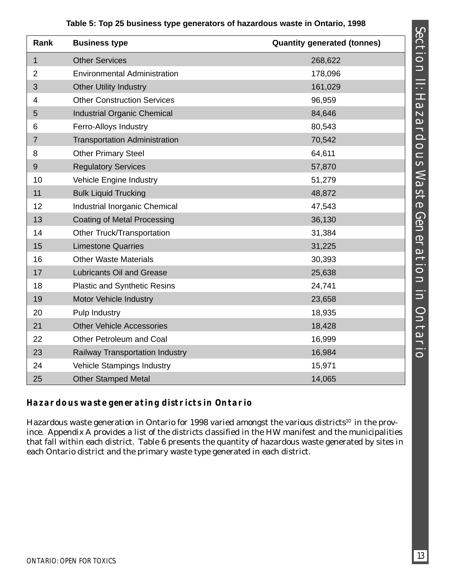| Rank           | <b>Business type</b>                 | <b>Quantity generated (tonnes)</b> |
|----------------|--------------------------------------|------------------------------------|
| $\mathbf{1}$   | <b>Other Services</b>                | 268,622                            |
| $\overline{2}$ | <b>Environmental Administration</b>  | 178,096                            |
| 3              | <b>Other Utility Industry</b>        | 161,029                            |
| $\overline{4}$ | <b>Other Construction Services</b>   | 96,959                             |
| 5              | <b>Industrial Organic Chemical</b>   | 84,646                             |
| 6              | Ferro-Alloys Industry                | 80,543                             |
| $\overline{7}$ | <b>Transportation Administration</b> | 70,542                             |
| 8              | <b>Other Primary Steel</b>           | 64,611                             |
| $9\,$          | <b>Regulatory Services</b>           | 57,870                             |
| 10             | <b>Vehicle Engine Industry</b>       | 51,279                             |
| 11             | <b>Bulk Liquid Trucking</b>          | 48,872                             |
| 12             | Industrial Inorganic Chemical        | 47,543                             |
| 13             | <b>Coating of Metal Processing</b>   | 36,130                             |
| 14             | Other Truck/Transportation           | 31,384                             |
| 15             | <b>Limestone Quarries</b>            | 31,225                             |
| 16             | <b>Other Waste Materials</b>         | 30,393                             |
| 17             | <b>Lubricants Oil and Grease</b>     | 25,638                             |
| 18             | <b>Plastic and Synthetic Resins</b>  | 24,741                             |
| 19             | Motor Vehicle Industry               | 23,658                             |
| 20             | Pulp Industry                        | 18,935                             |
| 21             | <b>Other Vehicle Accessories</b>     | 18,428                             |
| 22             | Other Petroleum and Coal             | 16,999                             |
| 23             | Railway Transportation Industry      | 16,984                             |
| 24             | Vehicle Stampings Industry           | 15,971                             |
| 25             | <b>Other Stamped Metal</b>           | 14,065                             |

## **Table 5: Top 25 business type generators of hazardous waste in Ontario, 1998**

## **Hazardous waste generating districts in Ontario**

Hazardous waste generation in Ontario for 1998 varied amongst the various districts<sup>10</sup> in the province. Appendix A provides a list of the districts classified in the HW manifest and the municipalities that fall within each district. Table 6 presents the quantity of hazardous waste generated by sites in each Ontario district and the primary waste type generated in each district.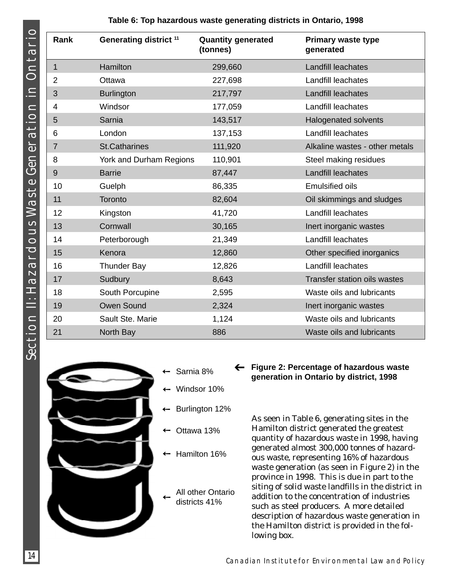| <b>Rank</b>    | Generating district <sup>11</sup> | <b>Quantity generated</b><br>(tonnes) | <b>Primary waste type</b><br>generated |
|----------------|-----------------------------------|---------------------------------------|----------------------------------------|
| $\mathbf 1$    | Hamilton                          | 299,660                               | Landfill leachates                     |
| $\overline{2}$ | Ottawa                            | 227,698                               | Landfill leachates                     |
| 3              | <b>Burlington</b>                 | 217,797                               | Landfill leachates                     |
| 4              | Windsor                           | 177,059                               | Landfill leachates                     |
| 5              | Sarnia                            | 143,517                               | <b>Halogenated solvents</b>            |
| 6              | London                            | 137,153                               | Landfill leachates                     |
| $\overline{7}$ | <b>St.Catharines</b>              | 111,920                               | Alkaline wastes - other metals         |
| 8              | York and Durham Regions           | 110,901                               | Steel making residues                  |
| 9              | <b>Barrie</b>                     | 87,447                                | Landfill leachates                     |
| 10             | Guelph                            | 86,335                                | <b>Emulsified oils</b>                 |
| 11             | Toronto                           | 82,604                                | Oil skimmings and sludges              |
| 12             | Kingston                          | 41,720                                | Landfill leachates                     |
| 13             | Cornwall                          | 30,165                                | Inert inorganic wastes                 |
| 14             | Peterborough                      | 21,349                                | Landfill leachates                     |
| 15             | Kenora                            | 12,860                                | Other specified inorganics             |
| 16             | <b>Thunder Bay</b>                | 12,826                                | Landfill leachates                     |
| 17             | Sudbury                           | 8,643                                 | <b>Transfer station oils wastes</b>    |
| 18             | South Porcupine                   | 2,595                                 | Waste oils and lubricants              |
| 19             | Owen Sound                        | 2,324                                 | Inert inorganic wastes                 |
| 20             | Sault Ste. Marie                  | 1,124                                 | Waste oils and lubricants              |
| 21             | North Bay                         | 886                                   | Waste oils and lubricants              |

➔





- Sarnia 8%
- Windsor 10%
- Burlington 12%
- Ottawa 13%
- ← Hamilton 16%
- All other Ontario districts 41%

**Figure 2: Percentage of hazardous waste generation in Ontario by district, 1998**

As seen in Table 6, generating sites in the Hamilton district generated the greatest quantity of hazardous waste in 1998, having generated almost 300,000 tonnes of hazardous waste, representing 16% of hazardous waste generation (as seen in Figure 2) in the province in 1998. This is due in part to the siting of solid waste landfills in the district in addition to the concentration of industries such as steel producers. A more detailed description of hazardous waste generation in the Hamilton district is provided in the following box.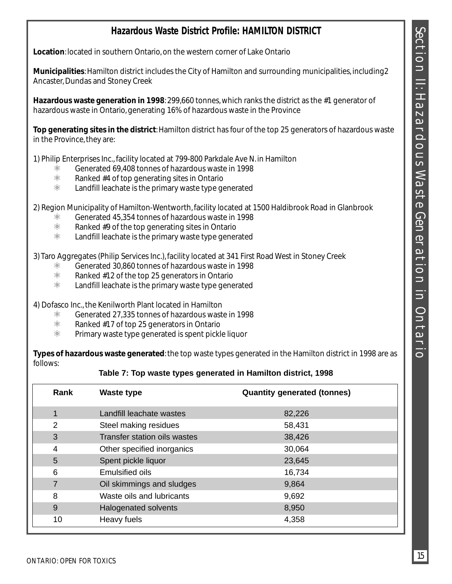## **Hazardous Waste District Profile: HAMILTON DISTRICT**

**Location**: located in southern Ontario, on the western corner of Lake Ontario

**Municipalities**: Hamilton district includes the City of Hamilton and surrounding municipalities, including2 Ancaster, Dundas and Stoney Creek

**Hazardous waste generation in 1998**: 299,660 tonnes, which ranks the district as the #1 generator of hazardous waste in Ontario, generating 16% of hazardous waste in the Province

**Top generating sites in the district**: Hamilton district has four of the top 25 generators of hazardous waste in the Province, they are:

1) Philip Enterprises Inc., facility located at 799-800 Parkdale Ave N. in Hamilton

- $\frac{1}{100}$  Generated 69,408 tonnes of hazardous waste in 1998
- $%$  Ranked #4 of top generating sites in Ontario<br> $%$  Landfill leachate is the primary waste type ge
- Landfill leachate is the primary waste type generated

2) Region Municipality of Hamilton-Wentworth, facility located at 1500 Haldibrook Road in Glanbrook

- $\frac{\text{\$}}{\text{\$}}$  Generated 45,354 tonnes of hazardous waste in 1998<br> $\frac{\text{\$}}{\text{\$}}$  Ranked #9 of the top generating sites in Ontario
- $%$  Ranked #9 of the top generating sites in Ontario<br> $%$  Landfill leachate is the primary waste type gener
- Landfill leachate is the primary waste type generated

3) Taro Aggregates (Philip Services Inc.), facility located at 341 First Road West in Stoney Creek

- $\frac{1}{100}$  Generated 30,860 tonnes of hazardous waste in 1998
- $%$  Ranked #12 of the top 25 generators in Ontario<br> $%$  Landfill leachate is the primary waste type gene
- Landfill leachate is the primary waste type generated

4) Dofasco Inc., the Kenilworth Plant located in Hamilton

- $\frac{\text{\$}}{\text{\$}}$  Generated 27,335 tonnes of hazardous waste in 1998<br> $\frac{\text{\$}}{\text{\$}}$  Ranked #17 of top 25 generators in Ontario
- $%$  Ranked #17 of top 25 generators in Ontario<br> $%$  Primary waste type generated is spent pickl
- Primary waste type generated is spent pickle liquor

**Types of hazardous waste generated**: the top waste types generated in the Hamilton district in 1998 are as follows:

#### **Table 7: Top waste types generated in Hamilton district, 1998**

| Rank | <b>Waste type</b>            | <b>Quantity generated (tonnes)</b> |
|------|------------------------------|------------------------------------|
| 1    | Landfill leachate wastes     | 82,226                             |
| 2    | Steel making residues        | 58,431                             |
| 3    | Transfer station oils wastes | 38,426                             |
| 4    | Other specified inorganics   | 30,064                             |
| 5    | Spent pickle liquor          | 23,645                             |
| 6    | <b>Emulsified oils</b>       | 16,734                             |
| 7    | Oil skimmings and sludges    | 9,864                              |
| 8    | Waste oils and lubricants    | 9,692                              |
| 9    | Halogenated solvents         | 8,950                              |
| 10   | Heavy fuels                  | 4,358                              |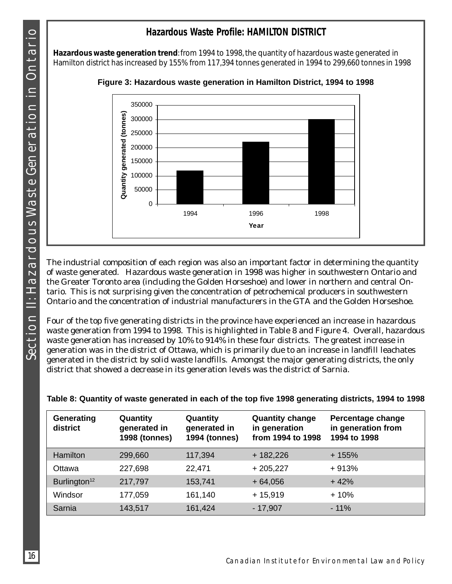## **Hazardous Waste Profile: HAMILTON DISTRICT**

**Hazardous waste generation trend**: from 1994 to 1998, the quantity of hazardous waste generated in Hamilton district has increased by 155% from 117,394 tonnes generated in 1994 to 299,660 tonnes in 1998



**Figure 3: Hazardous waste generation in Hamilton District, 1994 to 1998**

The industrial composition of each region was also an important factor in determining the quantity of waste generated. Hazardous waste generation in 1998 was higher in southwestern Ontario and the Greater Toronto area (including the Golden Horseshoe) and lower in northern and central Ontario. This is not surprising given the concentration of petrochemical producers in southwestern Ontario and the concentration of industrial manufacturers in the GTA and the Golden Horseshoe.

Four of the top five generating districts in the province have experienced an increase in hazardous waste generation from 1994 to 1998. This is highlighted in Table 8 and Figure 4. Overall, hazardous waste generation has increased by 10% to 914% in these four districts. The greatest increase in generation was in the district of Ottawa, which is primarily due to an increase in landfill leachates generated in the district by solid waste landfills. Amongst the major generating districts, the only district that showed a decrease in its generation levels was the district of Sarnia.

| Generating<br>district   | Quantity<br>generated in<br><b>1998 (tonnes)</b> | Quantity<br>generated in<br><b>1994 (tonnes)</b> | <b>Quantity change</b><br>in generation<br>from 1994 to 1998 | Percentage change<br>in generation from<br>1994 to 1998 |
|--------------------------|--------------------------------------------------|--------------------------------------------------|--------------------------------------------------------------|---------------------------------------------------------|
| Hamilton                 | 299,660                                          | 117,394                                          | $+182,226$                                                   | $+155%$                                                 |
| Ottawa                   | 227,698                                          | 22,471                                           | $+205,227$                                                   | $+913%$                                                 |
| Burlington <sup>12</sup> | 217,797                                          | 153,741                                          | $+64,056$                                                    | $+42%$                                                  |
| Windsor                  | 177,059                                          | 161,140                                          | $+15,919$                                                    | $+10%$                                                  |
| Sarnia                   | 143,517                                          | 161,424                                          | $-17,907$                                                    | $-11%$                                                  |

|  | Table 8: Quantity of waste generated in each of the top five 1998 generating districts, 1994 to 1998 |  |  |  |
|--|------------------------------------------------------------------------------------------------------|--|--|--|
|  |                                                                                                      |  |  |  |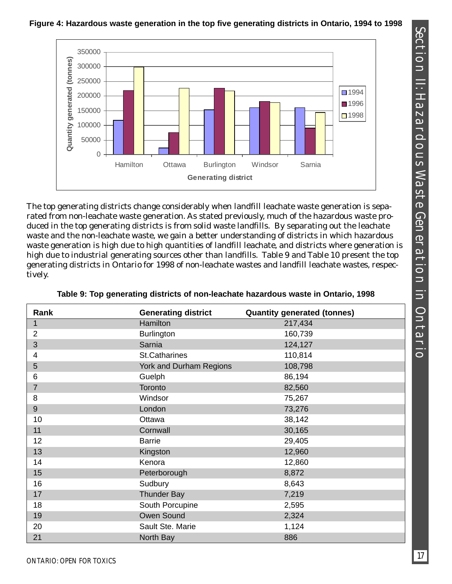#### **Figure 4: Hazardous waste generation in the top five generating districts in Ontario, 1994 to 1998**

The top generating districts change considerably when landfill leachate waste generation is separated from non-leachate waste generation. As stated previously, much of the hazardous waste produced in the top generating districts is from solid waste landfills. By separating out the leachate waste and the non-leachate waste, we gain a better understanding of districts in which hazardous waste generation is high due to high quantities of landfill leachate, and districts where generation is high due to industrial generating sources other than landfills. Table 9 and Table 10 present the top generating districts in Ontario for 1998 of non-leachate wastes and landfill leachate wastes, respectively.

| Rank           | <b>Generating district</b> | <b>Quantity generated (tonnes)</b> |
|----------------|----------------------------|------------------------------------|
|                | Hamilton                   | 217,434                            |
| $\overline{2}$ | <b>Burlington</b>          | 160,739                            |
| 3              | Sarnia                     | 124,127                            |
| 4              | St.Catharines              | 110,814                            |
| 5              | York and Durham Regions    | 108,798                            |
| 6              | Guelph                     | 86,194                             |
| $\overline{7}$ | Toronto                    | 82,560                             |
| 8              | Windsor                    | 75,267                             |
| $\mathsf 9$    | London                     | 73,276                             |
| 10             | Ottawa                     | 38,142                             |
| 11             | Cornwall                   | 30,165                             |
| 12             | <b>Barrie</b>              | 29,405                             |
| 13             | Kingston                   | 12,960                             |
| 14             | Kenora                     | 12,860                             |
| 15             | Peterborough               | 8,872                              |
| 16             | Sudbury                    | 8,643                              |
| 17             | <b>Thunder Bay</b>         | 7,219                              |
| 18             | South Porcupine            | 2,595                              |
| 19             | Owen Sound                 | 2,324                              |
| 20             | Sault Ste. Marie           | 1,124                              |
| 21             | North Bay                  | 886                                |

**Table 9: Top generating districts of non-leachate hazardous waste in Ontario, 1998**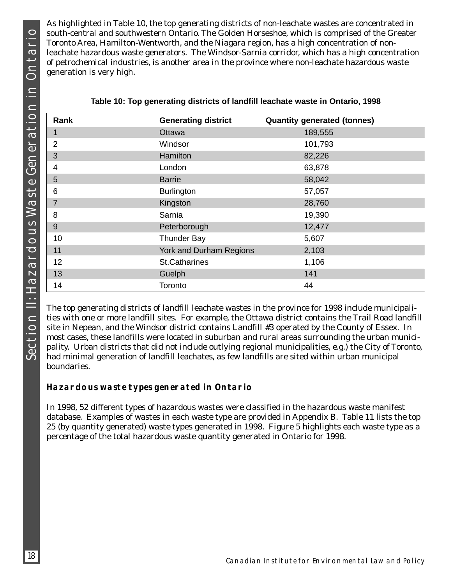As highlighted in Table 10, the top generating districts of non-leachate wastes are concentrated in south-central and southwestern Ontario. The Golden Horseshoe, which is comprised of the Greater Toronto Area, Hamilton-Wentworth, and the Niagara region, has a high concentration of nonleachate hazardous waste generators. The Windsor-Sarnia corridor, which has a high concentration of petrochemical industries, is another area in the province where non-leachate hazardous waste generation is very high.

| Rank           | <b>Generating district</b> | <b>Quantity generated (tonnes)</b> |
|----------------|----------------------------|------------------------------------|
| 1              | Ottawa                     | 189,555                            |
| $\overline{2}$ | Windsor                    | 101,793                            |
| 3              | Hamilton                   | 82,226                             |
| 4              | London                     | 63,878                             |
| 5              | <b>Barrie</b>              | 58,042                             |
| 6              | <b>Burlington</b>          | 57,057                             |
| $\overline{7}$ | Kingston                   | 28,760                             |
| 8              | Sarnia                     | 19,390                             |
| 9              | Peterborough               | 12,477                             |
| 10             | <b>Thunder Bay</b>         | 5,607                              |
| 11             | York and Durham Regions    | 2,103                              |
| 12             | <b>St.Catharines</b>       | 1,106                              |
| 13             | Guelph                     | 141                                |
| 14             | Toronto                    | 44                                 |

| Table 10: Top generating districts of landfill leachate waste in Ontario, 1998 |
|--------------------------------------------------------------------------------|
|--------------------------------------------------------------------------------|

The top generating districts of landfill leachate wastes in the province for 1998 include municipalities with one or more landfill sites. For example, the Ottawa district contains the Trail Road landfill site in Nepean, and the Windsor district contains Landfill #3 operated by the County of Essex. In most cases, these landfills were located in suburban and rural areas surrounding the urban municipality. Urban districts that did not include outlying regional municipalities, e.g.) the City of Toronto, had minimal generation of landfill leachates, as few landfills are sited within urban municipal boundaries.

### **Hazardous waste types generated in Ontario**

In 1998, 52 different types of hazardous wastes were classified in the hazardous waste manifest database. Examples of wastes in each waste type are provided in Appendix B. Table 11 lists the top 25 (by quantity generated) waste types generated in 1998. Figure 5 highlights each waste type as a percentage of the total hazardous waste quantity generated in Ontario for 1998.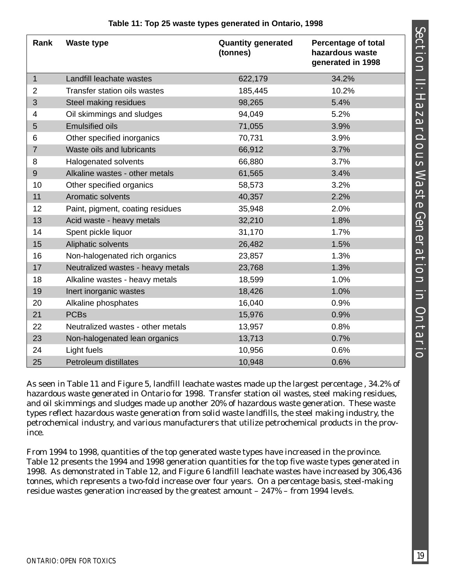| Rank           | <b>Waste type</b>                 | <b>Quantity generated</b><br>(tonnes) | <b>Percentage of total</b><br>hazardous waste<br>generated in 1998 |
|----------------|-----------------------------------|---------------------------------------|--------------------------------------------------------------------|
| $\mathbf{1}$   | Landfill leachate wastes          | 622,179                               | 34.2%                                                              |
| 2              | Transfer station oils wastes      | 185,445                               | 10.2%                                                              |
| 3              | Steel making residues             | 98,265                                | 5.4%                                                               |
| 4              | Oil skimmings and sludges         | 94,049                                | 5.2%                                                               |
| 5              | <b>Emulsified oils</b>            | 71,055                                | 3.9%                                                               |
| 6              | Other specified inorganics        | 70,731                                | 3.9%                                                               |
| $\overline{7}$ | Waste oils and lubricants         | 66,912                                | 3.7%                                                               |
| 8              | <b>Halogenated solvents</b>       | 66,880                                | 3.7%                                                               |
| 9              | Alkaline wastes - other metals    | 61,565                                | 3.4%                                                               |
| 10             | Other specified organics          | 58,573                                | 3.2%                                                               |
| 11             | Aromatic solvents                 | 40,357                                | 2.2%                                                               |
| 12             | Paint, pigment, coating residues  | 35,948                                | 2.0%                                                               |
| 13             | Acid waste - heavy metals         | 32,210                                | 1.8%                                                               |
| 14             | Spent pickle liquor               | 31,170                                | 1.7%                                                               |
| 15             | Aliphatic solvents                | 26,482                                | 1.5%                                                               |
| 16             | Non-halogenated rich organics     | 23,857                                | 1.3%                                                               |
| 17             | Neutralized wastes - heavy metals | 23,768                                | 1.3%                                                               |
| 18             | Alkaline wastes - heavy metals    | 18,599                                | 1.0%                                                               |
| 19             | Inert inorganic wastes            | 18,426                                | 1.0%                                                               |
| 20             | Alkaline phosphates               | 16,040                                | 0.9%                                                               |
| 21             | <b>PCBs</b>                       | 15,976                                | 0.9%                                                               |
| 22             | Neutralized wastes - other metals | 13,957                                | 0.8%                                                               |
| 23             | Non-halogenated lean organics     | 13,713                                | 0.7%                                                               |
| 24             | Light fuels                       | 10,956                                | 0.6%                                                               |
| 25             | <b>Petroleum distillates</b>      | 10,948                                | 0.6%                                                               |

#### **Table 11: Top 25 waste types generated in Ontario, 1998**

As seen in Table 11 and Figure 5, landfill leachate wastes made up the largest percentage , 34.2% of hazardous waste generated in Ontario for 1998. Transfer station oil wastes, steel making residues, and oil skimmings and sludges made up another 20% of hazardous waste generation. These waste types reflect hazardous waste generation from solid waste landfills, the steel making industry, the petrochemical industry, and various manufacturers that utilize petrochemical products in the province.

From 1994 to 1998, quantities of the top generated waste types have increased in the province. Table 12 presents the 1994 and 1998 generation quantities for the top five waste types generated in 1998. As demonstrated in Table 12, and Figure 6 landfill leachate wastes have increased by 306,436 tonnes, which represents a two-fold increase over four years. On a percentage basis, steel-making residue wastes generation increased by the greatest amount – 247% – from 1994 levels.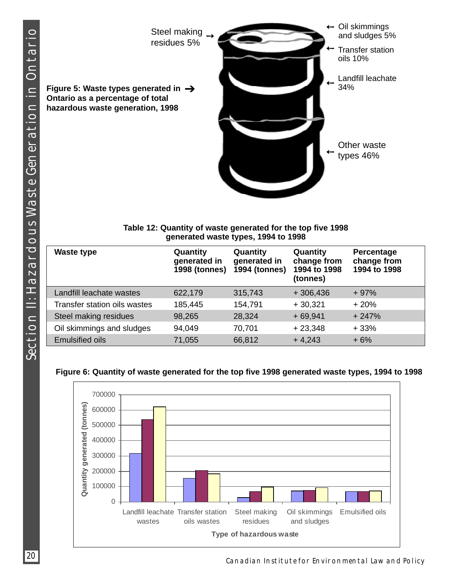

#### **Table 12: Quantity of waste generated for the top five 1998 generated waste types, 1994 to 1998**

| <b>Waste type</b>            | Quantity<br>generated in<br><b>1998 (tonnes)</b> | Quantity<br>generated in<br><b>1994 (tonnes)</b> | Quantity<br>change from<br>1994 to 1998<br>(tonnes) | Percentage<br>change from<br>1994 to 1998 |
|------------------------------|--------------------------------------------------|--------------------------------------------------|-----------------------------------------------------|-------------------------------------------|
| Landfill leachate wastes     | 622,179                                          | 315,743                                          | $+306,436$                                          | $+97%$                                    |
| Transfer station oils wastes | 185,445                                          | 154,791                                          | $+30,321$                                           | $+20%$                                    |
| Steel making residues        | 98,265                                           | 28,324                                           | $+69,941$                                           | $+247%$                                   |
| Oil skimmings and sludges    | 94,049                                           | 70,701                                           | $+23,348$                                           | $+33%$                                    |
| <b>Emulsified oils</b>       | 71,055                                           | 66,812                                           | $+4,243$                                            | $+6%$                                     |

#### **Figure 6: Quantity of waste generated for the top five 1998 generated waste types, 1994 to 1998**

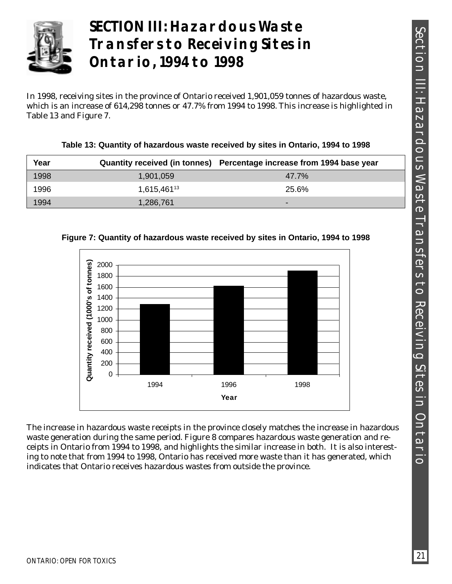

# **SECTION III: Hazardous Waste Transfers to Receiving Sites in Ontario, 1994 to 1998**

In 1998, receiving sites in the province of Ontario received 1,901,059 tonnes of hazardous waste, which is an increase of 614,298 tonnes or 47.7% from 1994 to 1998. This increase is highlighted in Table 13 and Figure 7.

| Year |             | Quantity received (in tonnes) Percentage increase from 1994 base year |
|------|-------------|-----------------------------------------------------------------------|
| 1998 | 1,901,059   | 47.7%                                                                 |
| 1996 | 1.615.46113 | 25.6%                                                                 |
| 1994 | 1,286,761   | -                                                                     |

**Table 13: Quantity of hazardous waste received by sites in Ontario, 1994 to 1998**



**Figure 7: Quantity of hazardous waste received by sites in Ontario, 1994 to 1998**

The increase in hazardous waste receipts in the province closely matches the increase in hazardous waste generation during the same period. Figure 8 compares hazardous waste generation and receipts in Ontario from 1994 to 1998, and highlights the similar increase in both. It is also interesting to note that from 1994 to 1998, Ontario has received more waste than it has generated, which indicates that Ontario receives hazardous wastes from outside the province.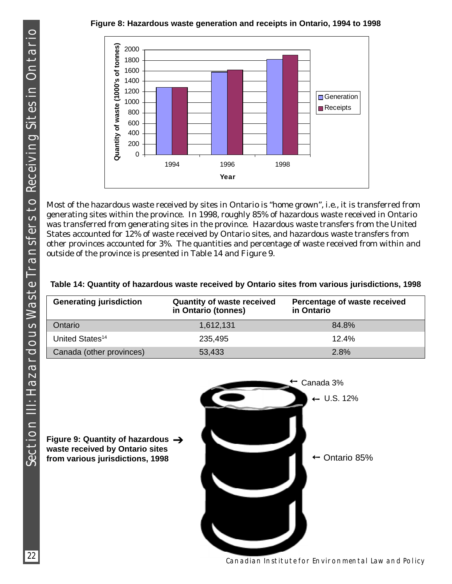## **Figure 8: Hazardous waste generation and receipts in Ontario, 1994 to 1998**



Most of the hazardous waste received by sites in Ontario is "home grown", i.e., it is transferred from generating sites within the province. In 1998, roughly 85% of hazardous waste received in Ontario was transferred from generating sites in the province. Hazardous waste transfers from the United States accounted for 12% of waste received by Ontario sites, and hazardous waste transfers from other provinces accounted for 3%. The quantities and percentage of waste received from within and outside of the province is presented in Table 14 and Figure 9.

| <b>Generating jurisdiction</b> | <b>Quantity of waste received</b><br>in Ontario (tonnes) | Percentage of waste received<br>in Ontario |
|--------------------------------|----------------------------------------------------------|--------------------------------------------|
| Ontario                        | 1,612,131                                                | 84.8%                                      |
| United States <sup>14</sup>    | 235,495                                                  | 12.4%                                      |
| Canada (other provinces)       | 53,433                                                   | 2.8%                                       |

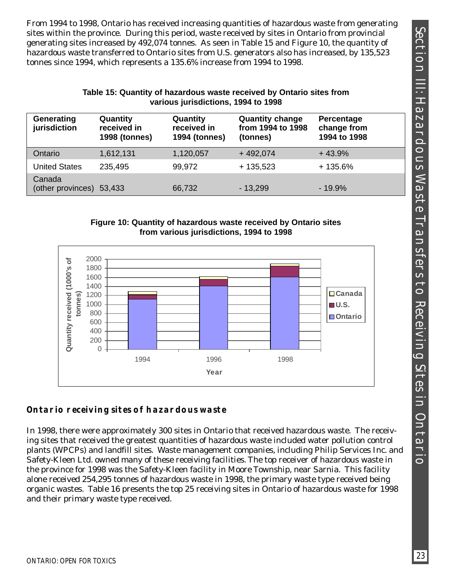SECTION II: HAZARDOOOS XAXSTE TRANSFERS TO RECEIVING SITES IN ONTARDOOOS S Section III: Hazardous Waste Transfers to Receiving Sites in Ontario

From 1994 to 1998, Ontario has received increasing quantities of hazardous waste from generating sites within the province. During this period, waste received by sites in Ontario from provincial generating sites increased by 492,074 tonnes. As seen in Table 15 and Figure 10, the quantity of hazardous waste transferred to Ontario sites from U.S. generators also has increased, by 135,523 tonnes since 1994, which represents a 135.6% increase from 1994 to 1998.

#### **Table 15: Quantity of hazardous waste received by Ontario sites from various jurisdictions, 1994 to 1998**

| Generating<br>jurisdiction         | Quantity<br>received in<br><b>1998 (tonnes)</b> | Quantity<br>received in<br><b>1994 (tonnes)</b> | <b>Quantity change</b><br>from 1994 to 1998<br>(tonnes) | Percentage<br>change from<br>1994 to 1998 |
|------------------------------------|-------------------------------------------------|-------------------------------------------------|---------------------------------------------------------|-------------------------------------------|
| Ontario                            | 1,612,131                                       | 1,120,057                                       | $+492,074$                                              | $+43.9%$                                  |
| <b>United States</b>               | 235,495                                         | 99,972                                          | $+135,523$                                              | $+135.6%$                                 |
| Canada<br>(other provinces) 53,433 |                                                 | 66,732                                          | $-13,299$                                               | $-19.9%$                                  |

#### **Figure 10: Quantity of hazardous waste received by Ontario sites from various jurisdictions, 1994 to 1998**



## **Ontario receiving sites of hazardous waste**

In 1998, there were approximately 300 sites in Ontario that received hazardous waste. The receiving sites that received the greatest quantities of hazardous waste included water pollution control plants (WPCPs) and landfill sites. Waste management companies, including Philip Services Inc. and Safety-Kleen Ltd. owned many of these receiving facilities. The top receiver of hazardous waste in the province for 1998 was the Safety-Kleen facility in Moore Township, near Sarnia. This facility alone received 254,295 tonnes of hazardous waste in 1998, the primary waste type received being organic wastes. Table 16 presents the top 25 receiving sites in Ontario of hazardous waste for 1998 and their primary waste type received.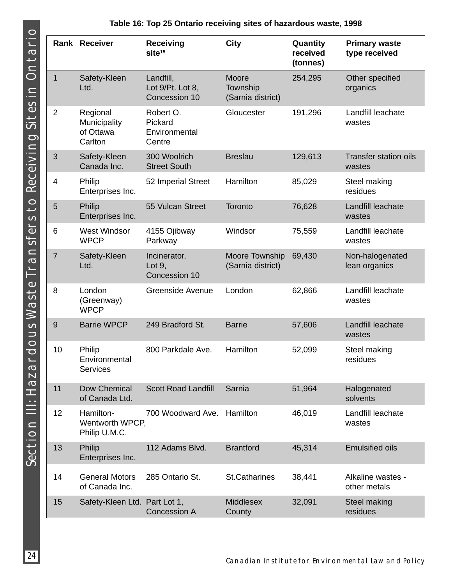|                | Rank Receiver                                    | <b>Receiving</b><br>site <sup>15</sup>          | <b>City</b>                            | Quantity<br>received<br>(tonnes) | <b>Primary waste</b><br>type received  |
|----------------|--------------------------------------------------|-------------------------------------------------|----------------------------------------|----------------------------------|----------------------------------------|
| $\mathbf{1}$   | Safety-Kleen<br>Ltd.                             | Landfill,<br>Lot 9/Pt. Lot 8,<br>Concession 10  | Moore<br>Township<br>(Sarnia district) | 254,295                          | Other specified<br>organics            |
| $\overline{2}$ | Regional<br>Municipality<br>of Ottawa<br>Carlton | Robert O.<br>Pickard<br>Environmental<br>Centre | Gloucester                             | 191,296                          | Landfill leachate<br>wastes            |
| 3              | Safety-Kleen<br>Canada Inc.                      | 300 Woolrich<br><b>Street South</b>             | <b>Breslau</b>                         | 129,613                          | <b>Transfer station oils</b><br>wastes |
| 4              | Philip<br>Enterprises Inc.                       | 52 Imperial Street                              | Hamilton                               | 85,029                           | Steel making<br>residues               |
| 5              | <b>Philip</b><br>Enterprises Inc.                | 55 Vulcan Street                                | Toronto                                | 76,628                           | Landfill leachate<br>wastes            |
| 6              | <b>West Windsor</b><br><b>WPCP</b>               | 4155 Ojibway<br>Parkway                         | Windsor                                | 75,559                           | Landfill leachate<br>wastes            |
| $\overline{7}$ | Safety-Kleen<br>Ltd.                             | Incinerator,<br>Lot $9$ ,<br>Concession 10      | Moore Township<br>(Sarnia district)    | 69,430                           | Non-halogenated<br>lean organics       |
| 8              | London<br>(Greenway)<br><b>WPCP</b>              | <b>Greenside Avenue</b>                         | London                                 | 62,866                           | Landfill leachate<br>wastes            |
| 9              | <b>Barrie WPCP</b>                               | 249 Bradford St.                                | <b>Barrie</b>                          | 57,606                           | Landfill leachate<br>wastes            |
| 10             | Philip<br>Environmental<br><b>Services</b>       | 800 Parkdale Ave.                               | Hamilton                               | 52,099                           | Steel making<br>residues               |
| 11             | Dow Chemical<br>of Canada Ltd.                   | <b>Scott Road Landfill</b>                      | Sarnia                                 | 51,964                           | Halogenated<br>solvents                |
| 12             | Hamilton-<br>Wentworth WPCP,<br>Philip U.M.C.    | 700 Woodward Ave.                               | Hamilton                               | 46,019                           | Landfill leachate<br>wastes            |
| 13             | Philip<br>Enterprises Inc.                       | 112 Adams Blvd.                                 | <b>Brantford</b>                       | 45,314                           | <b>Emulsified oils</b>                 |
| 14             | <b>General Motors</b><br>of Canada Inc.          | 285 Ontario St.                                 | <b>St.Catharines</b>                   | 38,441                           | Alkaline wastes -<br>other metals      |
| 15             | Safety-Kleen Ltd. Part Lot 1,                    | <b>Concession A</b>                             | <b>Middlesex</b><br>County             | 32,091                           | <b>Steel making</b><br>residues        |

### **Table 16: Top 25 Ontario receiving sites of hazardous waste, 1998**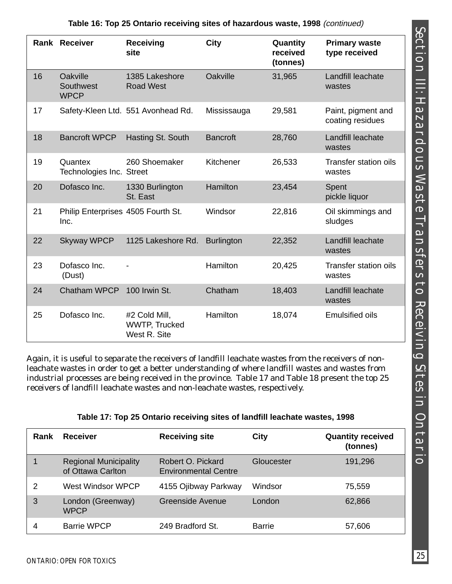|    | <b>Rank Receiver</b>                       | Receiving<br>site                                     | City              | Quantity<br>received<br>(tonnes) | <b>Primary waste</b><br>type received  |
|----|--------------------------------------------|-------------------------------------------------------|-------------------|----------------------------------|----------------------------------------|
| 16 | Oakville<br>Southwest<br><b>WPCP</b>       | 1385 Lakeshore<br><b>Road West</b>                    | Oakville          | 31,965                           | Landfill leachate<br>wastes            |
| 17 |                                            | Safety-Kleen Ltd. 551 Avonhead Rd.                    | Mississauga       | 29,581                           | Paint, pigment and<br>coating residues |
| 18 | <b>Bancroft WPCP</b>                       | Hasting St. South                                     | <b>Bancroft</b>   | 28,760                           | Landfill leachate<br>wastes            |
| 19 | Quantex<br>Technologies Inc. Street        | 260 Shoemaker                                         | Kitchener         | 26,533                           | <b>Transfer station oils</b><br>wastes |
| 20 | Dofasco Inc.                               | 1330 Burlington<br>St. East                           | Hamilton          | 23,454                           | Spent<br>pickle liquor                 |
| 21 | Philip Enterprises 4505 Fourth St.<br>Inc. |                                                       | Windsor           | 22,816                           | Oil skimmings and<br>sludges           |
| 22 | <b>Skyway WPCP</b>                         | 1125 Lakeshore Rd.                                    | <b>Burlington</b> | 22,352                           | Landfill leachate<br>wastes            |
| 23 | Dofasco Inc.<br>(Dust)                     |                                                       | Hamilton          | 20,425                           | <b>Transfer station oils</b><br>wastes |
| 24 | <b>Chatham WPCP</b>                        | 100 Irwin St.                                         | Chatham           | 18,403                           | Landfill leachate<br>wastes            |
| 25 | Dofasco Inc.                               | #2 Cold Mill,<br><b>WWTP, Trucked</b><br>West R. Site | Hamilton          | 18,074                           | <b>Emulsified oils</b>                 |

## **Table 16: Top 25 Ontario receiving sites of hazardous waste, 1998** (continued)

Again, it is useful to separate the receivers of landfill leachate wastes from the receivers of nonleachate wastes in order to get a better understanding of where landfill wastes and wastes from industrial processes are being received in the province. Table 17 and Table 18 present the top 25 receivers of landfill leachate wastes and non-leachate wastes, respectively.

#### **Table 17: Top 25 Ontario receiving sites of landfill leachate wastes, 1998**

| Rank | <b>Receiver</b>                                   | <b>Receiving site</b>                            | <b>City</b>   | <b>Quantity received</b><br>(tonnes) |
|------|---------------------------------------------------|--------------------------------------------------|---------------|--------------------------------------|
|      | <b>Regional Municipality</b><br>of Ottawa Carlton | Robert O. Pickard<br><b>Environmental Centre</b> | Gloucester    | 191,296                              |
| 2    | West Windsor WPCP                                 | 4155 Ojibway Parkway                             | Windsor       | 75,559                               |
| 3    | London (Greenway)<br><b>WPCP</b>                  | Greenside Avenue                                 | London        | 62,866                               |
|      | <b>Barrie WPCP</b>                                | 249 Bradford St.                                 | <b>Barrie</b> | 57,606                               |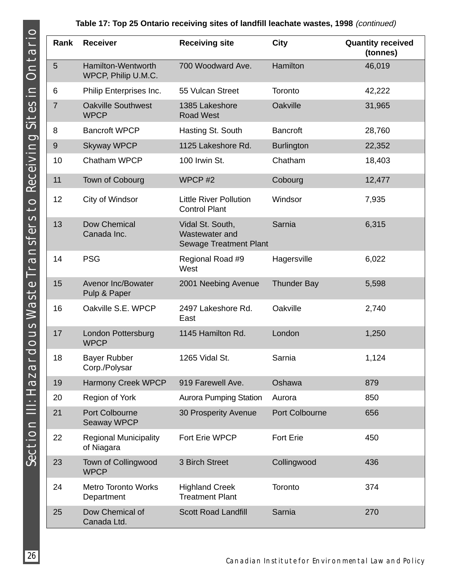### **Table 17: Top 25 Ontario receiving sites of landfill leachate wastes, 1998** (continued)

| Rank           | <b>Receiver</b>                             | <b>Receiving site</b>                                               | <b>City</b>        | <b>Quantity received</b><br>(tonnes) |
|----------------|---------------------------------------------|---------------------------------------------------------------------|--------------------|--------------------------------------|
| 5              | Hamilton-Wentworth<br>WPCP, Philip U.M.C.   | 700 Woodward Ave.                                                   | Hamilton           | 46,019                               |
| 6              | Philip Enterprises Inc.                     | 55 Vulcan Street                                                    | Toronto            | 42,222                               |
| $\overline{7}$ | <b>Oakville Southwest</b><br><b>WPCP</b>    | 1385 Lakeshore<br><b>Road West</b>                                  | Oakville           | 31,965                               |
| 8              | <b>Bancroft WPCP</b>                        | Hasting St. South                                                   | <b>Bancroft</b>    | 28,760                               |
| 9              | <b>Skyway WPCP</b>                          | 1125 Lakeshore Rd.                                                  | <b>Burlington</b>  | 22,352                               |
| 10             | Chatham WPCP                                | 100 Irwin St.                                                       | Chatham            | 18,403                               |
| 11             | Town of Cobourg                             | WPCP#2                                                              | Cobourg            | 12,477                               |
| 12             | City of Windsor                             | <b>Little River Pollution</b><br><b>Control Plant</b>               | Windsor            | 7,935                                |
| 13             | <b>Dow Chemical</b><br>Canada Inc.          | Vidal St. South,<br>Wastewater and<br><b>Sewage Treatment Plant</b> | Sarnia             | 6,315                                |
| 14             | <b>PSG</b>                                  | Regional Road #9<br>West                                            | Hagersville        | 6,022                                |
| 15             | <b>Avenor Inc/Bowater</b><br>Pulp & Paper   | 2001 Neebing Avenue                                                 | <b>Thunder Bay</b> | 5,598                                |
| 16             | Oakville S.E. WPCP                          | 2497 Lakeshore Rd.<br>East                                          | Oakville           | 2,740                                |
| 17             | London Pottersburg<br><b>WPCP</b>           | 1145 Hamilton Rd.                                                   | London             | 1,250                                |
| 18             | <b>Bayer Rubber</b><br>Corp./Polysar        | 1265 Vidal St.                                                      | Sarnia             | 1,124                                |
| 19             | <b>Harmony Creek WPCP</b>                   | 919 Farewell Ave.                                                   | Oshawa             | 879                                  |
| 20             | Region of York                              | <b>Aurora Pumping Station</b>                                       | Aurora             | 850                                  |
| 21             | <b>Port Colbourne</b><br><b>Seaway WPCP</b> | 30 Prosperity Avenue                                                | Port Colbourne     | 656                                  |
| 22             | <b>Regional Municipality</b><br>of Niagara  | Fort Erie WPCP                                                      | <b>Fort Erie</b>   | 450                                  |
| 23             | Town of Collingwood<br><b>WPCP</b>          | 3 Birch Street                                                      | Collingwood        | 436                                  |
| 24             | <b>Metro Toronto Works</b><br>Department    | <b>Highland Creek</b><br><b>Treatment Plant</b>                     | Toronto            | 374                                  |
| 25             | Dow Chemical of<br>Canada Ltd.              | <b>Scott Road Landfill</b>                                          | Sarnia             | 270                                  |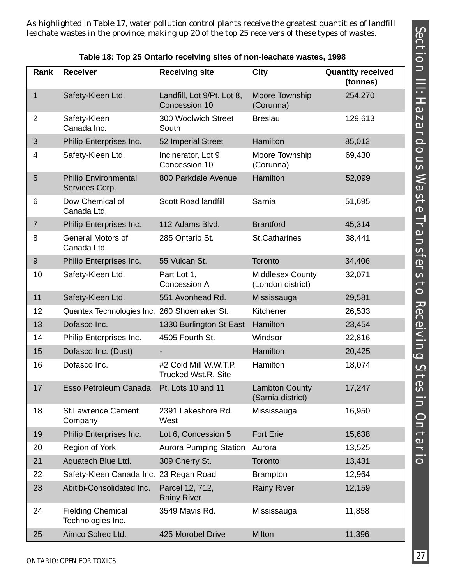As highlighted in Table 17, water pollution control plants receive the greatest quantities of landfill leachate wastes in the province, making up 20 of the top 25 receivers of these types of wastes.

| Rank           | <b>Receiver</b>                               | <b>Receiving site</b>                               | <b>City</b>                                  | <b>Quantity received</b><br>(tonnes) |
|----------------|-----------------------------------------------|-----------------------------------------------------|----------------------------------------------|--------------------------------------|
| $\mathbf{1}$   | Safety-Kleen Ltd.                             | Landfill, Lot 9/Pt. Lot 8,<br>Concession 10         | Moore Township<br>(Corunna)                  | 254,270                              |
| $\overline{2}$ | Safety-Kleen<br>Canada Inc.                   | 300 Woolwich Street<br>South                        | <b>Breslau</b>                               | 129,613                              |
| 3              | Philip Enterprises Inc.                       | 52 Imperial Street                                  | Hamilton                                     | 85,012                               |
| 4              | Safety-Kleen Ltd.                             | Incinerator, Lot 9,<br>Concession.10                | Moore Township<br>(Corunna)                  | 69,430                               |
| 5              | <b>Philip Environmental</b><br>Services Corp. | 800 Parkdale Avenue                                 | Hamilton                                     | 52,099                               |
| 6              | Dow Chemical of<br>Canada Ltd.                | <b>Scott Road landfill</b>                          | Sarnia                                       | 51,695                               |
| $\overline{7}$ | Philip Enterprises Inc.                       | 112 Adams Blvd.                                     | <b>Brantford</b>                             | 45,314                               |
| 8              | <b>General Motors of</b><br>Canada Ltd.       | 285 Ontario St.                                     | <b>St.Catharines</b>                         | 38,441                               |
| 9              | Philip Enterprises Inc.                       | 55 Vulcan St.                                       | Toronto                                      | 34,406                               |
| 10             | Safety-Kleen Ltd.                             | Part Lot 1,<br>Concession A                         | <b>Middlesex County</b><br>(London district) | 32,071                               |
| 11             | Safety-Kleen Ltd.                             | 551 Avonhead Rd.                                    | Mississauga                                  | 29,581                               |
| 12             | Quantex Technologies Inc. 260 Shoemaker St.   |                                                     | Kitchener                                    | 26,533                               |
| 13             | Dofasco Inc.                                  | 1330 Burlington St East                             | Hamilton                                     | 23,454                               |
| 14             | Philip Enterprises Inc.                       | 4505 Fourth St.                                     | Windsor                                      | 22,816                               |
| 15             | Dofasco Inc. (Dust)                           |                                                     | Hamilton                                     | 20,425                               |
| 16             | Dofasco Inc.                                  | #2 Cold Mill W.W.T.P.<br><b>Trucked Wst.R. Site</b> | Hamilton                                     | 18,074                               |
| 17             | Esso Petroleum Canada                         | Pt. Lots 10 and 11                                  | <b>Lambton County</b><br>(Sarnia district)   | 17,247                               |
| 18             | <b>St.Lawrence Cement</b><br>Company          | 2391 Lakeshore Rd.<br>West                          | Mississauga                                  | 16,950                               |
| 19             | Philip Enterprises Inc.                       | Lot 6, Concession 5                                 | <b>Fort Erie</b>                             | 15,638                               |
| 20             | Region of York                                | <b>Aurora Pumping Station</b>                       | Aurora                                       | 13,525                               |
| 21             | Aquatech Blue Ltd.                            | 309 Cherry St.                                      | Toronto                                      | 13,431                               |
| 22             | Safety-Kleen Canada Inc. 23 Regan Road        |                                                     | <b>Brampton</b>                              | 12,964                               |
| 23             | Abitibi-Consolidated Inc.                     | Parcel 12, 712,<br><b>Rainy River</b>               | <b>Rainy River</b>                           | 12,159                               |
| 24             | <b>Fielding Chemical</b><br>Technologies Inc. | 3549 Mavis Rd.                                      | Mississauga                                  | 11,858                               |
| 25             | Aimco Solrec Ltd.                             | 425 Morobel Drive                                   | Milton                                       | 11,396                               |

**Table 18: Top 25 Ontario receiving sites of non-leachate wastes, 1998**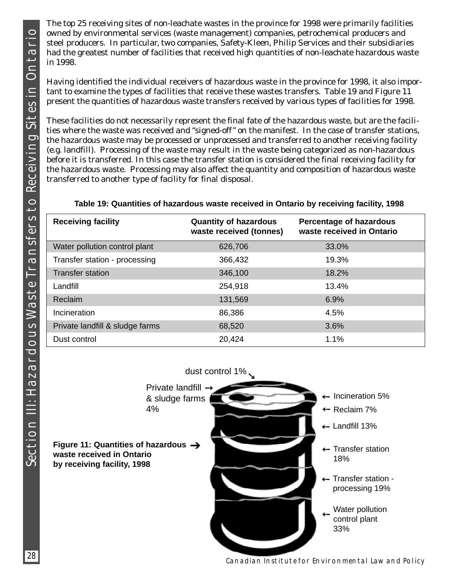The top 25 receiving sites of non-leachate wastes in the province for 1998 were primarily facilities owned by environmental services (waste management) companies, petrochemical producers and steel producers. In particular, two companies, Safety-Kleen, Philip Services and their subsidiaries had the greatest number of facilities that received high quantities of non-leachate hazardous waste in 1998.

Having identified the individual receivers of hazardous waste in the province for 1998, it also important to examine the types of facilities that receive these wastes transfers. Table 19 and Figure 11 present the quantities of hazardous waste transfers received by various types of facilities for 1998.

These facilities do not necessarily represent the final fate of the hazardous waste, but are the facilities where the waste was received and "signed-off" on the manifest. In the case of transfer stations, the hazardous waste may be processed or unprocessed and transferred to another receiving facility (e.g. landfill). Processing of the waste may result in the waste being categorized as non-hazardous before it is transferred. In this case the transfer station is considered the final receiving facility for the hazardous waste. Processing may also affect the quantity and composition of hazardous waste transferred to another type of facility for final disposal.

### **Table 19: Quantities of hazardous waste received in Ontario by receiving facility, 1998**

| <b>Receiving facility</b>       | <b>Quantity of hazardous</b><br>waste received (tonnes) | <b>Percentage of hazardous</b><br>waste received in Ontario |
|---------------------------------|---------------------------------------------------------|-------------------------------------------------------------|
| Water pollution control plant   | 626,706                                                 | 33.0%                                                       |
| Transfer station - processing   | 366,432                                                 | 19.3%                                                       |
| <b>Transfer station</b>         | 346,100                                                 | 18.2%                                                       |
| Landfill                        | 254,918                                                 | 13.4%                                                       |
| Reclaim                         | 131,569                                                 | 6.9%                                                        |
| Incineration                    | 86,386                                                  | 4.5%                                                        |
| Private landfill & sludge farms | 68,520                                                  | 3.6%                                                        |
| Dust control                    | 20,424                                                  | 1.1%                                                        |

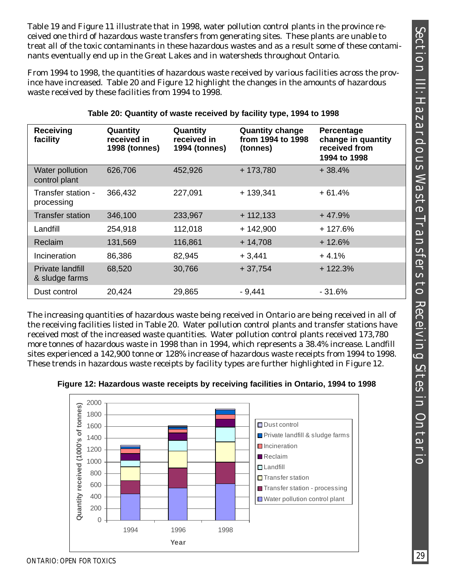Table 19 and Figure 11 illustrate that in 1998, water pollution control plants in the province received one third of hazardous waste transfers from generating sites. These plants are unable to treat all of the toxic contaminants in these hazardous wastes and as a result some of these contaminants eventually end up in the Great Lakes and in watersheds throughout Ontario.

From 1994 to 1998, the quantities of hazardous waste received by various facilities across the province have increased. Table 20 and Figure 12 highlight the changes in the amounts of hazardous waste received by these facilities from 1994 to 1998.

| <b>Receiving</b><br>facility       | Quantity<br>received in<br><b>1998 (tonnes)</b> | Quantity<br>received in<br><b>1994 (tonnes)</b> | <b>Quantity change</b><br>from 1994 to 1998<br>(tonnes) | Percentage<br>change in quantity<br>received from<br>1994 to 1998 |
|------------------------------------|-------------------------------------------------|-------------------------------------------------|---------------------------------------------------------|-------------------------------------------------------------------|
| Water pollution<br>control plant   | 626,706                                         | 452,926                                         | $+173,780$                                              | $+38.4%$                                                          |
| Transfer station -<br>processing   | 366,432                                         | 227,091                                         | $+139,341$                                              | $+61.4%$                                                          |
| Transfer station                   | 346,100                                         | 233,967                                         | $+112,133$                                              | $+47.9%$                                                          |
| Landfill                           | 254,918                                         | 112,018                                         | $+ 142,900$                                             | $+127.6%$                                                         |
| Reclaim                            | 131,569                                         | 116,861                                         | $+14,708$                                               | $+12.6%$                                                          |
| Incineration                       | 86,386                                          | 82,945                                          | $+3,441$                                                | $+4.1%$                                                           |
| Private landfill<br>& sludge farms | 68,520                                          | 30,766                                          | $+37,754$                                               | $+122.3%$                                                         |
| Dust control                       | 20,424                                          | 29,865                                          | $-9,441$                                                | - 31.6%                                                           |

#### **Table 20: Quantity of waste received by facility type, 1994 to 1998**

The increasing quantities of hazardous waste being received in Ontario are being received in all of the receiving facilities listed in Table 20. Water pollution control plants and transfer stations have received most of the increased waste quantities. Water pollution control plants received 173,780 more tonnes of hazardous waste in 1998 than in 1994, which represents a 38.4% increase. Landfill sites experienced a 142,900 tonne or 128% increase of hazardous waste receipts from 1994 to 1998. These trends in hazardous waste receipts by facility types are further highlighted in Figure 12.



**Figure 12: Hazardous waste receipts by receiving facilities in Ontario, 1994 to 1998**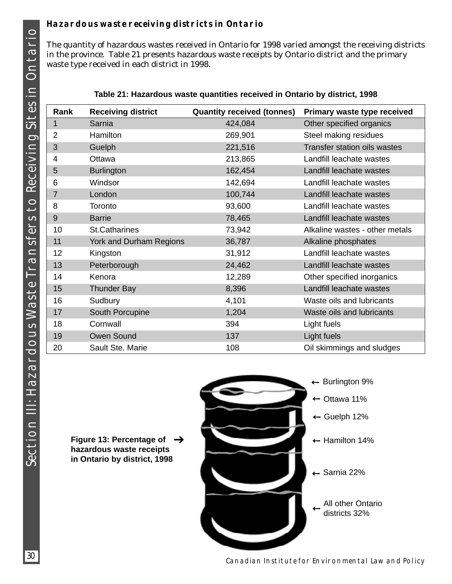## **Hazardous waste receiving districts in Ontario**

The quantity of hazardous wastes received in Ontario for 1998 varied amongst the receiving districts in the province. Table 21 presents hazardous waste receipts by Ontario district and the primary waste type received in each district in 1998.

| Rank           | <b>Receiving district</b> | <b>Quantity received (tonnes)</b> | Primary waste type received         |
|----------------|---------------------------|-----------------------------------|-------------------------------------|
| $\mathbf{1}$   | Sarnia                    | 424,084                           | Other specified organics            |
| 2              | <b>Hamilton</b>           | 269,901                           | Steel making residues               |
| 3              | Guelph                    | 221,516                           | <b>Transfer station oils wastes</b> |
| 4              | Ottawa                    | 213,865                           | Landfill leachate wastes            |
| 5              | <b>Burlington</b>         | 162,454                           | Landfill leachate wastes            |
| 6              | Windsor                   | 142,694                           | Landfill leachate wastes            |
| $\overline{7}$ | London                    | 100,744                           | Landfill leachate wastes            |
| 8              | Toronto                   | 93,600                            | Landfill leachate wastes            |
| 9              | <b>Barrie</b>             | 78,465                            | Landfill leachate wastes            |
| 10             | <b>St.Catharines</b>      | 73,942                            | Alkaline wastes - other metals      |
| 11             | York and Durham Regions   | 36,787                            | Alkaline phosphates                 |
| 12             | Kingston                  | 31,912                            | Landfill leachate wastes            |
| 13             | Peterborough              | 24,462                            | Landfill leachate wastes            |
| 14             | Kenora                    | 12,289                            | Other specified inorganics          |
| 15             | <b>Thunder Bay</b>        | 8,396                             | Landfill leachate wastes            |
| 16             | Sudbury                   | 4,101                             | Waste oils and lubricants           |
| 17             | South Porcupine           | 1,204                             | Waste oils and lubricants           |
| 18             | Cornwall                  | 394                               | Light fuels                         |
| 19             | <b>Owen Sound</b>         | 137                               | Light fuels                         |
| 20             | Sault Ste. Marie          | 108                               | Oil skimmings and sludges           |

| Table 21: Hazardous waste quantities received in Ontario by district, 1998 |  |  |  |  |
|----------------------------------------------------------------------------|--|--|--|--|
|----------------------------------------------------------------------------|--|--|--|--|

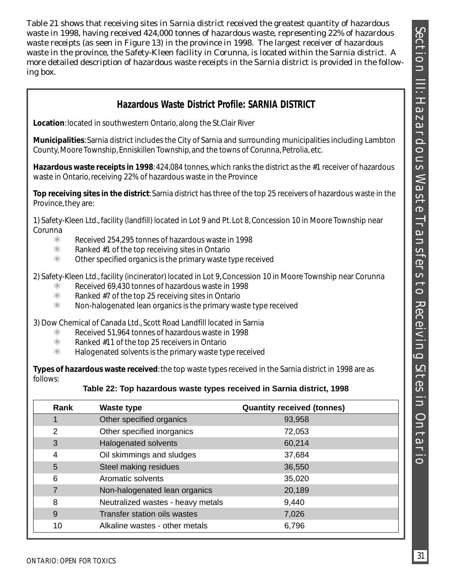Table 21 shows that receiving sites in Sarnia district received the greatest quantity of hazardous waste in 1998, having received 424,000 tonnes of hazardous waste, representing 22% of hazardous waste receipts (as seen in Figure 13) in the province in 1998. The largest receiver of hazardous waste in the province, the Safety-Kleen facility in Corunna, is located within the Sarnia district. A more detailed description of hazardous waste receipts in the Sarnia district is provided in the following box.

## **Hazardous Waste District Profile: SARNIA DISTRICT**

**Location**: located in southwestern Ontario, along the St.Clair River

**Municipalities**: Sarnia district includes the City of Sarnia and surrounding municipalities including Lambton County, Moore Township, Enniskillen Township, and the towns of Corunna, Petrolia, etc.

**Hazardous waste receipts in 1998**: 424,084 tonnes, which ranks the district as the #1 receiver of hazardous waste in Ontario, receiving 22% of hazardous waste in the Province

**Top receiving sites in the district**: Sarnia district has three of the top 25 receivers of hazardous waste in the Province, they are:

1) Safety-Kleen Ltd., facility (landfill) located in Lot 9 and Pt. Lot 8, Concession 10 in Moore Township near Corunna

- $%$  Received 254,295 tonnes of hazardous waste in 1998
- $\frac{1}{2}$  Ranked #1 of the top receiving sites in Ontario
- $\frac{a}{b}$  Other specified organics is the primary waste type received

2) Safety-Kleen Ltd., facility (incinerator) located in Lot 9, Concession 10 in Moore Township near Corunna

- $\frac{1}{100}$  Received 69,430 tonnes of hazardous waste in 1998
- $\frac{1}{100}$  Ranked #7 of the top 25 receiving sites in Ontario
- $\frac{a}{x}$  Non-halogenated lean organics is the primary waste type received

3) Dow Chemical of Canada Ltd., Scott Road Landfill located in Sarnia

- $\frac{1}{100}$  Received 51,964 tonnes of hazardous waste in 1998
- $\frac{1}{2}$  Ranked #11 of the top 25 receivers in Ontario
- $*$  Halogenated solvents is the primary waste type received

**Types of hazardous waste received**: the top waste types received in the Sarnia district in 1998 are as follows:

#### **Table 22: Top hazardous waste types received in Sarnia district, 1998**

| Rank | Waste type                        | <b>Quantity received (tonnes)</b> |
|------|-----------------------------------|-----------------------------------|
|      | Other specified organics          | 93,958                            |
| 2    | Other specified inorganics        | 72,053                            |
| 3    | <b>Halogenated solvents</b>       | 60,214                            |
| 4    | Oil skimmings and sludges         | 37,684                            |
| 5    | Steel making residues             | 36,550                            |
| 6    | Aromatic solvents                 | 35,020                            |
| 7    | Non-halogenated lean organics     | 20,189                            |
| 8    | Neutralized wastes - heavy metals | 9,440                             |
| 9    | Transfer station oils wastes      | 7,026                             |
| 10   | Alkaline wastes - other metals    | 6,796                             |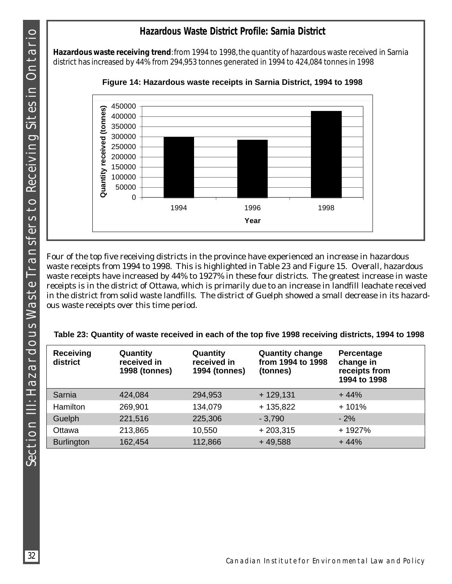## **Hazardous Waste District Profile: Sarnia District**

**Hazardous waste receiving trend**: from 1994 to 1998, the quantity of hazardous waste received in Sarnia district has increased by 44% from 294,953 tonnes generated in 1994 to 424,084 tonnes in 1998



**Figure 14: Hazardous waste receipts in Sarnia District, 1994 to 1998**

Four of the top five receiving districts in the province have experienced an increase in hazardous waste receipts from 1994 to 1998. This is highlighted in Table 23 and Figure 15. Overall, hazardous waste receipts have increased by 44% to 1927% in these four districts. The greatest increase in waste receipts is in the district of Ottawa, which is primarily due to an increase in landfill leachate received in the district from solid waste landfills. The district of Guelph showed a small decrease in its hazardous waste receipts over this time period.

| Table 23: Quantity of waste received in each of the top five 1998 receiving districts, 1994 to 1998 |  |  |  |  |
|-----------------------------------------------------------------------------------------------------|--|--|--|--|
|                                                                                                     |  |  |  |  |

| <b>Receiving</b><br>district | Quantity<br>received in<br><b>1998 (tonnes)</b> | Quantity<br>received in<br><b>1994 (tonnes)</b> | <b>Quantity change</b><br>from 1994 to 1998<br>(tonnes) | Percentage<br>change in<br>receipts from<br>1994 to 1998 |
|------------------------------|-------------------------------------------------|-------------------------------------------------|---------------------------------------------------------|----------------------------------------------------------|
| Sarnia                       | 424,084                                         | 294,953                                         | $+129,131$                                              | $+44%$                                                   |
| <b>Hamilton</b>              | 269,901                                         | 134,079                                         | $+135,822$                                              | $+101%$                                                  |
| Guelph                       | 221,516                                         | 225,306                                         | $-3,790$                                                | $-2%$                                                    |
| Ottawa                       | 213,865                                         | 10,550                                          | $+203,315$                                              | + 1927%                                                  |
| <b>Burlington</b>            | 162,454                                         | 112,866                                         | $+49,588$                                               | $+44%$                                                   |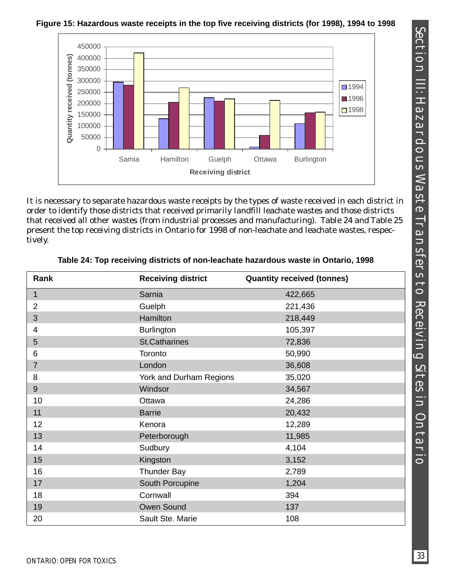450000 400000 Quantity received (tonnes) **Quantity received (tonnes)** 350000 300000 ■1994 250000 ■1996 200000 ■1998 150000 100000 50000  $0 -$ Sarnia Hamilton Guelph Ottawa Burlington **Receiving district**

**Figure 15: Hazardous waste receipts in the top five receiving districts (for 1998), 1994 to 1998**

It is necessary to separate hazardous waste receipts by the types of waste received in each district in order to identify those districts that received primarily landfill leachate wastes and those districts that received all other wastes (from industrial processes and manufacturing). Table 24 and Table 25 present the top receiving districts in Ontario for 1998 of non-leachate and leachate wastes, respectively.

| Rank           | <b>Receiving district</b> | <b>Quantity received (tonnes)</b> |
|----------------|---------------------------|-----------------------------------|
| 1              | Sarnia                    | 422,665                           |
| $\overline{2}$ | Guelph                    | 221,436                           |
| 3              | <b>Hamilton</b>           | 218,449                           |
| $\overline{4}$ | <b>Burlington</b>         | 105,397                           |
| 5              | <b>St.Catharines</b>      | 72,836                            |
| 6              | Toronto                   | 50,990                            |
| $\overline{7}$ | London                    | 36,608                            |
| 8              | York and Durham Regions   | 35,020                            |
| $9\,$          | Windsor                   | 34,567                            |
| 10             | Ottawa                    | 24,286                            |
| 11             | <b>Barrie</b>             | 20,432                            |
| 12             | Kenora                    | 12,289                            |
| 13             | Peterborough              | 11,985                            |
| 14             | Sudbury                   | 4,104                             |
| 15             | Kingston                  | 3,152                             |
| 16             | <b>Thunder Bay</b>        | 2,789                             |
| 17             | South Porcupine           | 1,204                             |
| 18             | Cornwall                  | 394                               |
| 19             | Owen Sound                | 137                               |
| 20             | Sault Ste. Marie          | 108                               |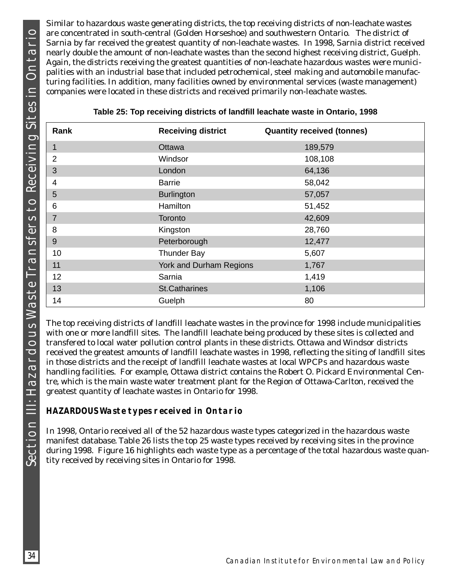Similar to hazardous waste generating districts, the top receiving districts of non-leachate wastes are concentrated in south-central (Golden Horseshoe) and southwestern Ontario. The district of Sarnia by far received the greatest quantity of non-leachate wastes. In 1998, Sarnia district received nearly double the amount of non-leachate wastes than the second highest receiving district, Guelph. Again, the districts receiving the greatest quantities of non-leachate hazardous wastes were municipalities with an industrial base that included petrochemical, steel making and automobile manufacturing facilities. In addition, many facilities owned by environmental services (waste management) companies were located in these districts and received primarily non-leachate wastes.

| Rank           | <b>Receiving district</b> | <b>Quantity received (tonnes)</b> |
|----------------|---------------------------|-----------------------------------|
| 1              | Ottawa                    | 189,579                           |
| $\overline{2}$ | Windsor                   | 108,108                           |
| 3              | London                    | 64,136                            |
| 4              | <b>Barrie</b>             | 58,042                            |
| 5              | <b>Burlington</b>         | 57,057                            |
| 6              | Hamilton                  | 51,452                            |
| 7              | <b>Toronto</b>            | 42,609                            |
| 8              | Kingston                  | 28,760                            |
| 9              | Peterborough              | 12,477                            |
| 10             | <b>Thunder Bay</b>        | 5,607                             |
| 11             | York and Durham Regions   | 1,767                             |
| 12             | Sarnia                    | 1,419                             |
| 13             | <b>St.Catharines</b>      | 1,106                             |
| 14             | Guelph                    | 80                                |

| Table 25: Top receiving districts of landfill leachate waste in Ontario, 1998 |  |  |  |  |  |  |  |
|-------------------------------------------------------------------------------|--|--|--|--|--|--|--|
|-------------------------------------------------------------------------------|--|--|--|--|--|--|--|

The top receiving districts of landfill leachate wastes in the province for 1998 include municipalities with one or more landfill sites. The landfill leachate being produced by these sites is collected and transfered to local water pollution control plants in these districts. Ottawa and Windsor districts received the greatest amounts of landfill leachate wastes in 1998, reflecting the siting of landfill sites in those districts and the receipt of landfill leachate wastes at local WPCPs and hazardous waste handling facilities. For example, Ottawa district contains the Robert O. Pickard Environmental Centre, which is the main waste water treatment plant for the Region of Ottawa-Carlton, received the greatest quantity of leachate wastes in Ontario for 1998.

### **HAZARDOUS Waste types received in Ontario**

In 1998, Ontario received all of the 52 hazardous waste types categorized in the hazardous waste manifest database. Table 26 lists the top 25 waste types received by receiving sites in the province during 1998. Figure 16 highlights each waste type as a percentage of the total hazardous waste quantity received by receiving sites in Ontario for 1998.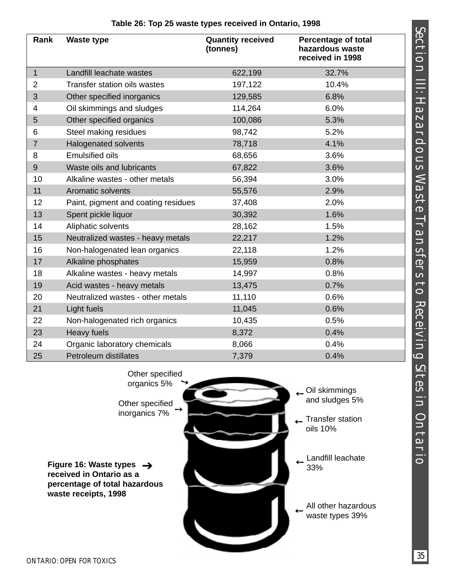| Rank           | <b>Waste type</b>                   | <b>Quantity received</b><br>(tonnes) | <b>Percentage of total</b><br>hazardous waste<br>received in 1998 |
|----------------|-------------------------------------|--------------------------------------|-------------------------------------------------------------------|
| $\mathbf{1}$   | Landfill leachate wastes            | 622,199                              | 32.7%                                                             |
| $\overline{2}$ | <b>Transfer station oils wastes</b> | 197,122                              | 10.4%                                                             |
| 3              | Other specified inorganics          | 129,585                              | 6.8%                                                              |
| 4              | Oil skimmings and sludges           | 114,264                              | 6.0%                                                              |
| 5              | Other specified organics            | 100,086                              | 5.3%                                                              |
| 6              | Steel making residues               | 98,742                               | 5.2%                                                              |
| $\overline{7}$ | <b>Halogenated solvents</b>         | 78,718                               | 4.1%                                                              |
| 8              | <b>Emulsified oils</b>              | 68,656                               | 3.6%                                                              |
| 9              | Waste oils and lubricants           | 67,822                               | 3.6%                                                              |
| 10             | Alkaline wastes - other metals      | 56,394                               | 3.0%                                                              |
| 11             | Aromatic solvents                   | 55,576                               | 2.9%                                                              |
| 12             | Paint, pigment and coating residues | 37,408                               | 2.0%                                                              |
| 13             | Spent pickle liquor                 | 30,392                               | 1.6%                                                              |
| 14             | Aliphatic solvents                  | 28,162                               | 1.5%                                                              |
| 15             | Neutralized wastes - heavy metals   | 22,217                               | 1.2%                                                              |
| 16             | Non-halogenated lean organics       | 22,118                               | 1.2%                                                              |
| 17             | Alkaline phosphates                 | 15,959                               | 0.8%                                                              |
| 18             | Alkaline wastes - heavy metals      | 14,997                               | 0.8%                                                              |
| 19             | Acid wastes - heavy metals          | 13,475                               | 0.7%                                                              |
| 20             | Neutralized wastes - other metals   | 11,110                               | 0.6%                                                              |
| 21             | Light fuels                         | 11,045                               | 0.6%                                                              |
| 22             | Non-halogenated rich organics       | 10,435                               | 0.5%                                                              |
| 23             | <b>Heavy fuels</b>                  | 8,372                                | 0.4%                                                              |
| 24             | Organic laboratory chemicals        | 8,066                                | 0.4%                                                              |
| 25             | <b>Petroleum distillates</b>        | 7,379                                | 0.4%                                                              |



Section III: Hazardous Waste Transfers to Receiving Sites in Ontario

SECTION III: HAZARDOUS WASTE TRANSTE TRANSTE TRANSTE TRANS SITES IN ONTARIO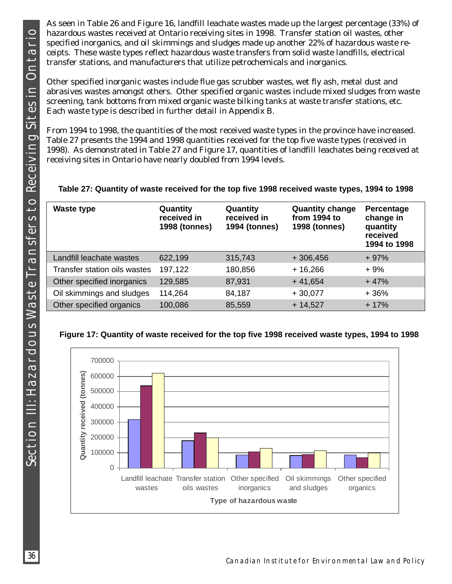As seen in Table 26 and Figure 16, landfill leachate wastes made up the largest percentage (33%) of hazardous wastes received at Ontario receiving sites in 1998. Transfer station oil wastes, other specified inorganics, and oil skimmings and sludges made up another 22% of hazardous waste receipts. These waste types reflect hazardous waste transfers from solid waste landfills, electrical transfer stations, and manufacturers that utilize petrochemicals and inorganics.

Other specified inorganic wastes include flue gas scrubber wastes, wet fly ash, metal dust and abrasives wastes amongst others. Other specified organic wastes include mixed sludges from waste screening, tank bottoms from mixed organic waste bilking tanks at waste transfer stations, etc. Each waste type is described in further detail in Appendix B.

From 1994 to 1998, the quantities of the most received waste types in the province have increased. Table 27 presents the 1994 and 1998 quantities received for the top five waste types (received in 1998). As demonstrated in Table 27 and Figure 17, quantities of landfill leachates being received at receiving sites in Ontario have nearly doubled from 1994 levels.

|  |  | Table 27: Quantity of waste received for the top five 1998 received waste types, 1994 to 1998 |  |
|--|--|-----------------------------------------------------------------------------------------------|--|
|  |  |                                                                                               |  |
|  |  |                                                                                               |  |

| <b>Waste type</b>            | Quantity<br>received in<br><b>1998 (tonnes)</b> | Quantity<br>received in<br><b>1994 (tonnes)</b> | <b>Quantity change</b><br>from 1994 to<br><b>1998 (tonnes)</b> | Percentage<br>change in<br>quantity<br>received<br>1994 to 1998 |
|------------------------------|-------------------------------------------------|-------------------------------------------------|----------------------------------------------------------------|-----------------------------------------------------------------|
| Landfill leachate wastes     | 622,199                                         | 315,743                                         | $+306,456$                                                     | $+97%$                                                          |
| Transfer station oils wastes | 197,122                                         | 180,856                                         | $+16,266$                                                      | $+9%$                                                           |
| Other specified inorganics   | 129,585                                         | 87,931                                          | $+41,654$                                                      | $+47%$                                                          |
| Oil skimmings and sludges    | 114,264                                         | 84,187                                          | $+30,077$                                                      | $+36%$                                                          |
| Other specified organics     | 100,086                                         | 85,559                                          | $+14,527$                                                      | $+17%$                                                          |

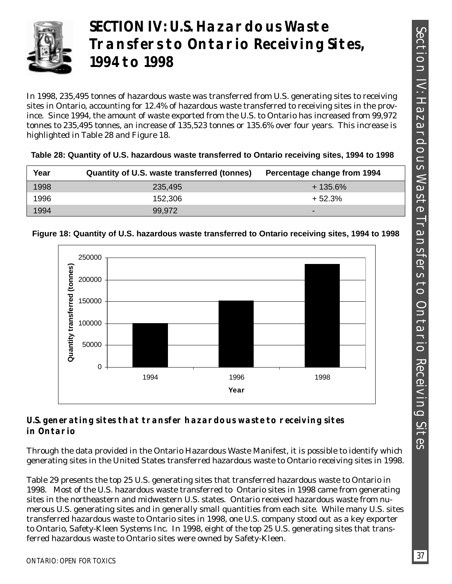

# **SECTION IV: U.S. Hazardous Waste Transfers to Ontario Receiving Sites, 1994 to 1998**

In 1998, 235,495 tonnes of hazardous waste was transferred from U.S. generating sites to receiving sites in Ontario, accounting for 12.4% of hazardous waste transferred to receiving sites in the province. Since 1994, the amount of waste exported from the U.S. to Ontario has increased from 99,972 tonnes to 235,495 tonnes, an increase of 135,523 tonnes or 135.6% over four years. This increase is highlighted in Table 28 and Figure 18.

| Table 28: Quantity of U.S. hazardous waste transferred to Ontario receiving sites, 1994 to 1998 |  |  |  |  |
|-------------------------------------------------------------------------------------------------|--|--|--|--|
|                                                                                                 |  |  |  |  |

| Year | Quantity of U.S. waste transferred (tonnes) | Percentage change from 1994 |
|------|---------------------------------------------|-----------------------------|
| 1998 | 235,495                                     | + 135.6%                    |
| 1996 | 152,306                                     | $+52.3%$                    |
| 1994 | 99.972                                      | $\overline{\phantom{0}}$    |



### **Figure 18: Quantity of U.S. hazardous waste transferred to Ontario receiving sites, 1994 to 1998**

## **U.S. generating sites that transfer hazardous waste to receiving sites in Ontario**

Through the data provided in the Ontario Hazardous Waste Manifest, it is possible to identify which generating sites in the United States transferred hazardous waste to Ontario receiving sites in 1998.

Table 29 presents the top 25 U.S. generating sites that transferred hazardous waste to Ontario in 1998. Most of the U.S. hazardous waste transferred to Ontario sites in 1998 came from generating sites in the northeastern and midwestern U.S. states. Ontario received hazardous waste from numerous U.S. generating sites and in generally small quantities from each site. While many U.S. sites transferred hazardous waste to Ontario sites in 1998, one U.S. company stood out as a key exporter to Ontario, Safety-Kleen Systems Inc. In 1998, eight of the top 25 U.S. generating sites that transferred hazardous waste to Ontario sites were owned by Safety-Kleen.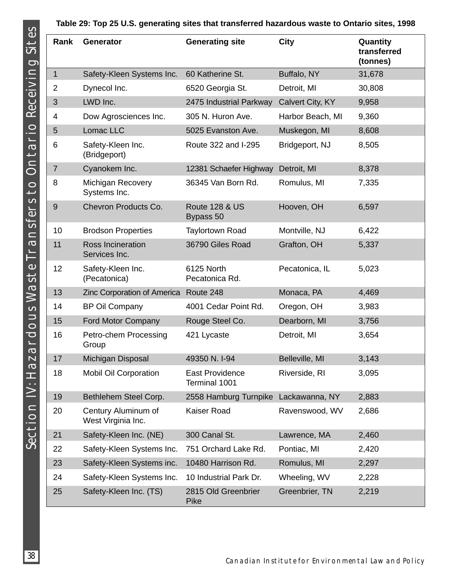### **Table 29: Top 25 U.S. generating sites that transferred hazardous waste to Ontario sites, 1998**

| Rank             | <b>Generator</b>                          | <b>Generating site</b>                  | <b>City</b>      | Quantity<br>transferred<br>(tonnes) |
|------------------|-------------------------------------------|-----------------------------------------|------------------|-------------------------------------|
| $\mathbf{1}$     | Safety-Kleen Systems Inc.                 | 60 Katherine St.                        | Buffalo, NY      | 31,678                              |
| $\overline{2}$   | Dynecol Inc.                              | 6520 Georgia St.                        | Detroit, MI      | 30,808                              |
| 3                | LWD Inc.                                  | 2475 Industrial Parkway                 | Calvert City, KY | 9,958                               |
| 4                | Dow Agrosciences Inc.                     | 305 N. Huron Ave.                       | Harbor Beach, MI | 9,360                               |
| 5                | Lomac LLC                                 | 5025 Evanston Ave.                      | Muskegon, MI     | 8,608                               |
| 6                | Safety-Kleen Inc.<br>(Bridgeport)         | Route 322 and I-295                     | Bridgeport, NJ   | 8,505                               |
| $\overline{7}$   | Cyanokem Inc.                             | 12381 Schaefer Highway                  | Detroit, MI      | 8,378                               |
| 8                | Michigan Recovery<br>Systems Inc.         | 36345 Van Born Rd.                      | Romulus, MI      | 7,335                               |
| $\boldsymbol{9}$ | Chevron Products Co.                      | <b>Route 128 &amp; US</b><br>Bypass 50  | Hooven, OH       | 6,597                               |
| 10               | <b>Brodson Properties</b>                 | <b>Taylortown Road</b>                  | Montville, NJ    | 6,422                               |
| 11               | Ross Incineration<br>Services Inc.        | 36790 Giles Road                        | Grafton, OH      | 5,337                               |
| 12               | Safety-Kleen Inc.<br>(Pecatonica)         | 6125 North<br>Pecatonica Rd.            | Pecatonica, IL   | 5,023                               |
| 13               | Zinc Corporation of America Route 248     |                                         | Monaca, PA       | 4,469                               |
| 14               | <b>BP Oil Company</b>                     | 4001 Cedar Point Rd.                    | Oregon, OH       | 3,983                               |
| 15               | Ford Motor Company                        | Rouge Steel Co.                         | Dearborn, MI     | 3,756                               |
| 16               | Petro-chem Processing<br>Group            | 421 Lycaste                             | Detroit, MI      | 3,654                               |
| 17               | Michigan Disposal                         | 49350 N. I-94                           | Belleville, MI   | 3,143                               |
| 18               | <b>Mobil Oil Corporation</b>              | <b>East Providence</b><br>Terminal 1001 | Riverside, RI    | 3,095                               |
| 19               | Bethlehem Steel Corp.                     | 2558 Hamburg Turnpike                   | Lackawanna, NY   | 2,883                               |
| 20               | Century Aluminum of<br>West Virginia Inc. | Kaiser Road                             | Ravenswood, WV   | 2,686                               |
| 21               | Safety-Kleen Inc. (NE)                    | 300 Canal St.                           | Lawrence, MA     | 2,460                               |
| 22               | Safety-Kleen Systems Inc.                 | 751 Orchard Lake Rd.                    | Pontiac, MI      | 2,420                               |
| 23               | Safety-Kleen Systems inc.                 | 10480 Harrison Rd.                      | Romulus, MI      | 2,297                               |
| 24               | Safety-Kleen Systems Inc.                 | 10 Industrial Park Dr.                  | Wheeling, WV     | 2,228                               |
| 25               | Safety-Kleen Inc. (TS)                    | 2815 Old Greenbrier<br>Pike             | Greenbrier, TN   | 2,219                               |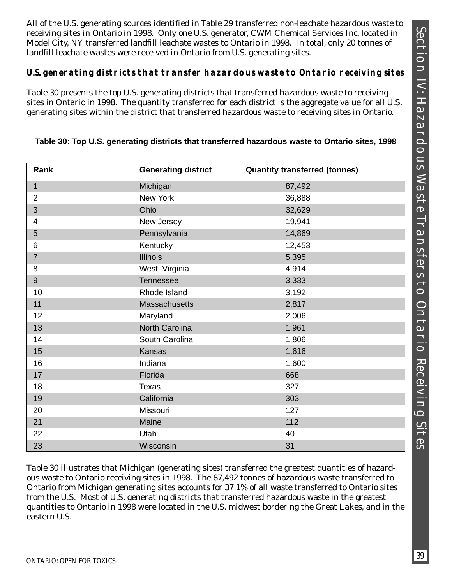All of the U.S. generating sources identified in Table 29 transferred non-leachate hazardous waste to receiving sites in Ontario in 1998. Only one U.S. generator, CWM Chemical Services Inc. located in Model City, NY transferred landfill leachate wastes to Ontario in 1998. In total, only 20 tonnes of landfill leachate wastes were received in Ontario from U.S. generating sites.

#### **U.S. generating districts that transfer hazardous waste to Ontario receiving sites**

Table 30 presents the top U.S. generating districts that transferred hazardous waste to receiving sites in Ontario in 1998. The quantity transferred for each district is the aggregate value for all U.S. generating sites within the district that transferred hazardous waste to receiving sites in Ontario.

| Rank           | <b>Generating district</b> | <b>Quantity transferred (tonnes)</b> |
|----------------|----------------------------|--------------------------------------|
| $\mathbf{1}$   | Michigan                   | 87,492                               |
| $\overline{2}$ | New York                   | 36,888                               |
| 3              | Ohio                       | 32,629                               |
| 4              | New Jersey                 | 19,941                               |
| 5              | Pennsylvania               | 14,869                               |
| 6              | Kentucky                   | 12,453                               |
| $\overline{7}$ | <b>Illinois</b>            | 5,395                                |
| 8              | West Virginia              | 4,914                                |
| $\overline{9}$ | Tennessee                  | 3,333                                |
| 10             | Rhode Island               | 3,192                                |
| 11             | Massachusetts              | 2,817                                |
| 12             | Maryland                   | 2,006                                |
| 13             | North Carolina             | 1,961                                |
| 14             | South Carolina             | 1,806                                |
| 15             | Kansas                     | 1,616                                |
| 16             | Indiana                    | 1,600                                |
| 17             | Florida                    | 668                                  |
| 18             | <b>Texas</b>               | 327                                  |
| 19             | California                 | 303                                  |
| 20             | Missouri                   | 127                                  |
| 21             | Maine                      | 112                                  |
| 22             | Utah                       | 40                                   |
| 23             | Wisconsin                  | 31                                   |

#### **Table 30: Top U.S. generating districts that transferred hazardous waste to Ontario sites, 1998**

Table 30 illustrates that Michigan (generating sites) transferred the greatest quantities of hazardous waste to Ontario receiving sites in 1998. The 87,492 tonnes of hazardous waste transferred to Ontario from Michigan generating sites accounts for 37.1% of all waste transferred to Ontario sites from the U.S. Most of U.S. generating districts that transferred hazardous waste in the greatest quantities to Ontario in 1998 were located in the U.S. midwest bordering the Great Lakes, and in the eastern U.S.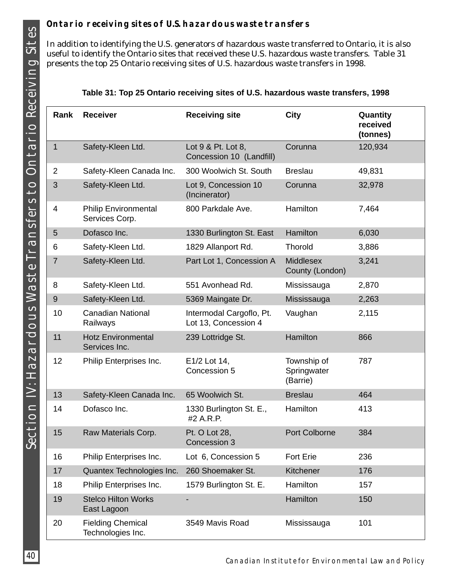## **Ontario receiving sites of U.S. hazardous waste transfers**

In addition to identifying the U.S. generators of hazardous waste transferred to Ontario, it is also useful to identify the Ontario sites that received these U.S. hazardous waste transfers. Table 31 presents the top 25 Ontario receiving sites of U.S. hazardous waste transfers in 1998.

| Rank           | <b>Receiver</b>                               | <b>Receiving site</b>                            | City                                   | Quantity<br>received<br>(tonnes) |
|----------------|-----------------------------------------------|--------------------------------------------------|----------------------------------------|----------------------------------|
| $\mathbf 1$    | Safety-Kleen Ltd.                             | Lot 9 & Pt. Lot 8,<br>Concession 10 (Landfill)   | Corunna                                | 120,934                          |
| $\overline{2}$ | Safety-Kleen Canada Inc.                      | 300 Woolwich St. South                           | <b>Breslau</b>                         | 49,831                           |
| 3              | Safety-Kleen Ltd.                             | Lot 9, Concession 10<br>(Incinerator)            | Corunna                                | 32,978                           |
| 4              | <b>Philip Environmental</b><br>Services Corp. | 800 Parkdale Ave.                                | Hamilton                               | 7,464                            |
| 5              | Dofasco Inc.                                  | 1330 Burlington St. East                         | Hamilton                               | 6,030                            |
| 6              | Safety-Kleen Ltd.                             | 1829 Allanport Rd.                               | <b>Thorold</b>                         | 3,886                            |
| $\overline{7}$ | Safety-Kleen Ltd.                             | Part Lot 1, Concession A                         | <b>Middlesex</b><br>County (London)    | 3,241                            |
| 8              | Safety-Kleen Ltd.                             | 551 Avonhead Rd.                                 | Mississauga                            | 2,870                            |
| $9\,$          | Safety-Kleen Ltd.                             | 5369 Maingate Dr.                                | Mississauga                            | 2,263                            |
| 10             | <b>Canadian National</b><br>Railways          | Intermodal Cargoflo, Pt.<br>Lot 13, Concession 4 | Vaughan                                | 2,115                            |
| 11             | <b>Hotz Environmental</b><br>Services Inc.    | 239 Lottridge St.                                | Hamilton                               | 866                              |
| 12             | Philip Enterprises Inc.                       | E1/2 Lot 14,<br>Concession 5                     | Township of<br>Springwater<br>(Barrie) | 787                              |
| 13             | Safety-Kleen Canada Inc.                      | 65 Woolwich St.                                  | <b>Breslau</b>                         | 464                              |
| 14             | Dofasco Inc.                                  | 1330 Burlington St. E.,<br>#2 A.R.P.             | Hamilton                               | 413                              |
| 15             | Raw Materials Corp.                           | Pt. O Lot 28.<br>Concession 3                    | Port Colborne                          | 384                              |
| 16             | Philip Enterprises Inc.                       | Lot 6, Concession 5                              | <b>Fort Erie</b>                       | 236                              |
| 17             | Quantex Technologies Inc.                     | 260 Shoemaker St.                                | Kitchener                              | 176                              |
| 18             | Philip Enterprises Inc.                       | 1579 Burlington St. E.                           | Hamilton                               | 157                              |
| 19             | <b>Stelco Hilton Works</b><br>East Lagoon     |                                                  | Hamilton                               | 150                              |
| 20             | <b>Fielding Chemical</b><br>Technologies Inc. | 3549 Mavis Road                                  | Mississauga                            | 101                              |

|  |  |  | Table 31: Top 25 Ontario receiving sites of U.S. hazardous waste transfers, 1998 |  |
|--|--|--|----------------------------------------------------------------------------------|--|
|  |  |  |                                                                                  |  |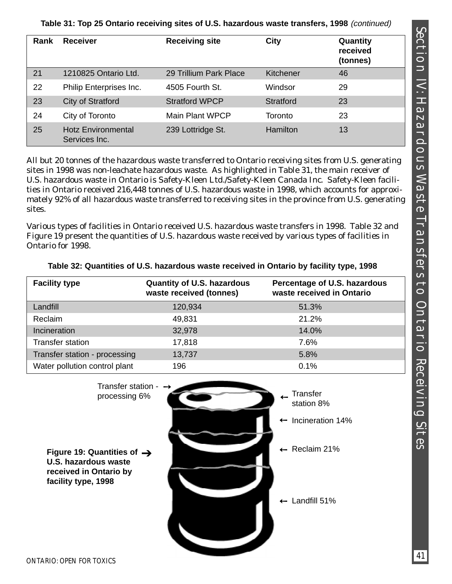## **Table 31: Top 25 Ontario receiving sites of U.S. hazardous waste transfers, 1998** (continued)

| Rank | <b>Receiver</b>                            | <b>Receiving site</b>  | <b>City</b>     | Quantity<br>received<br>(tonnes) |
|------|--------------------------------------------|------------------------|-----------------|----------------------------------|
| 21   | 1210825 Ontario Ltd.                       | 29 Trillium Park Place | Kitchener       | 46                               |
| 22   | Philip Enterprises Inc.                    | 4505 Fourth St.        | Windsor         | 29                               |
| 23   | City of Stratford                          | <b>Stratford WPCP</b>  | Stratford       | 23                               |
| 24   | City of Toronto                            | <b>Main Plant WPCP</b> | Toronto         | 23                               |
| 25   | <b>Hotz Environmental</b><br>Services Inc. | 239 Lottridge St.      | <b>Hamilton</b> | 13                               |

All but 20 tonnes of the hazardous waste transferred to Ontario receiving sites from U.S. generating sites in 1998 was non-leachate hazardous waste. As highlighted in Table 31, the main receiver of U.S. hazardous waste in Ontario is Safety-Kleen Ltd./Safety-Kleen Canada Inc. Safety-Kleen facilities in Ontario received 216,448 tonnes of U.S. hazardous waste in 1998, which accounts for approximately 92% of all hazardous waste transferred to receiving sites in the province from U.S. generating sites.

Various types of facilities in Ontario received U.S. hazardous waste transfers in 1998. Table 32 and Figure 19 present the quantities of U.S. hazardous waste received by various types of facilities in Ontario for 1998.

| <b>Facility type</b>          | <b>Quantity of U.S. hazardous</b><br>waste received (tonnes) | Percentage of U.S. hazardous<br>waste received in Ontario |
|-------------------------------|--------------------------------------------------------------|-----------------------------------------------------------|
| Landfill                      | 120,934                                                      | 51.3%                                                     |
| Reclaim                       | 49,831                                                       | 21.2%                                                     |
| Incineration                  | 32,978                                                       | 14.0%                                                     |
| Transfer station              | 17,818                                                       | 7.6%                                                      |
| Transfer station - processing | 13,737                                                       | 5.8%                                                      |
| Water pollution control plant | 196                                                          | 0.1%                                                      |

|  |  | Table 32: Quantities of U.S. hazardous waste received in Ontario by facility type, 1998 |  |
|--|--|-----------------------------------------------------------------------------------------|--|
|--|--|-----------------------------------------------------------------------------------------|--|

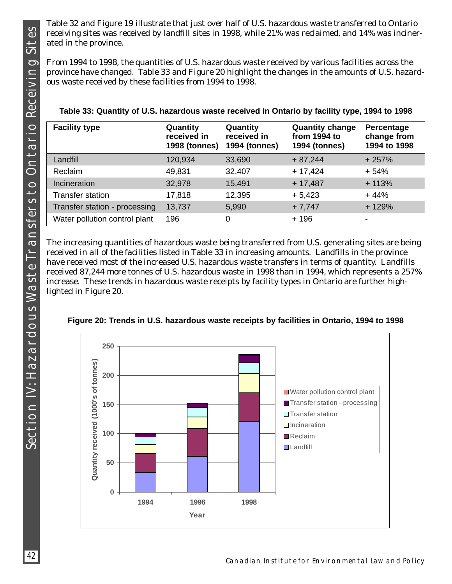Table 32 and Figure 19 illustrate that just over half of U.S. hazardous waste transferred to Ontario receiving sites was received by landfill sites in 1998, while 21% was reclaimed, and 14% was incinerated in the province.

From 1994 to 1998, the quantities of U.S. hazardous waste received by various facilities across the province have changed. Table 33 and Figure 20 highlight the changes in the amounts of U.S. hazardous waste received by these facilities from 1994 to 1998.

| <b>Facility type</b>          | Quantity<br>received in<br><b>1998 (tonnes)</b> | Quantity<br>received in<br><b>1994 (tonnes)</b> | <b>Quantity change</b><br>from 1994 to<br><b>1994 (tonnes)</b> | Percentage<br>change from<br>1994 to 1998 |
|-------------------------------|-------------------------------------------------|-------------------------------------------------|----------------------------------------------------------------|-------------------------------------------|
| Landfill                      | 120,934                                         | 33,690                                          | $+87,244$                                                      | $+257%$                                   |
| Reclaim                       | 49,831                                          | 32,407                                          | $+17,424$                                                      | $+54%$                                    |
| Incineration                  | 32,978                                          | 15,491                                          | $+17,487$                                                      | $+113%$                                   |
| <b>Transfer station</b>       | 17,818                                          | 12,395                                          | $+5,423$                                                       | $+44%$                                    |
| Transfer station - processing | 13,737                                          | 5,990                                           | $+7,747$                                                       | $+129%$                                   |
| Water pollution control plant | 196                                             | 0                                               | + 196                                                          |                                           |

|  |  |  |  | Table 33: Quantity of U.S. hazardous waste received in Ontario by facility type, 1994 to 1998 |
|--|--|--|--|-----------------------------------------------------------------------------------------------|
|--|--|--|--|-----------------------------------------------------------------------------------------------|

The increasing quantities of hazardous waste being transferred from U.S. generating sites are being received in all of the facilities listed in Table 33 in increasing amounts. Landfills in the province have received most of the increased U.S. hazardous waste transfers in terms of quantity. Landfills received 87,244 more tonnes of U.S. hazardous waste in 1998 than in 1994, which represents a 257% increase. These trends in hazardous waste receipts by facility types in Ontario are further highlighted in Figure 20.



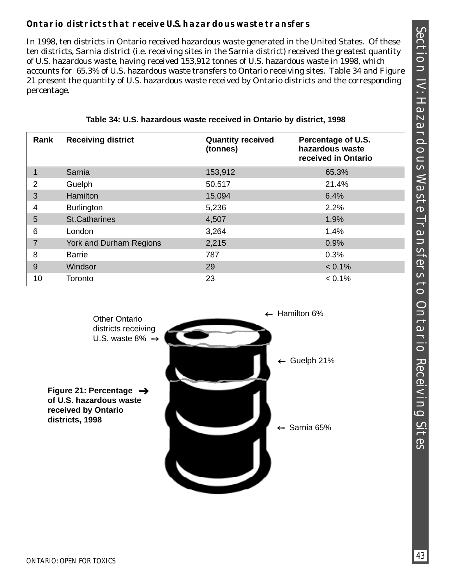## **Ontario districts that receive U.S. hazardous waste transfers**

In 1998, ten districts in Ontario received hazardous waste generated in the United States. Of these ten districts, Sarnia district (i.e. receiving sites in the Sarnia district) received the greatest quantity of U.S. hazardous waste, having received 153,912 tonnes of U.S. hazardous waste in 1998, which accounts for 65.3% of U.S. hazardous waste transfers to Ontario receiving sites. Table 34 and Figure 21 present the quantity of U.S. hazardous waste received by Ontario districts and the corresponding percentage.

| Rank           | <b>Receiving district</b> | <b>Quantity received</b><br>(tonnes) | Percentage of U.S.<br>hazardous waste<br>received in Ontario |
|----------------|---------------------------|--------------------------------------|--------------------------------------------------------------|
| $\mathbf 1$    | Sarnia                    | 153,912                              | 65.3%                                                        |
| $\overline{2}$ | Guelph                    | 50,517                               | 21.4%                                                        |
| 3              | <b>Hamilton</b>           | 15,094                               | 6.4%                                                         |
| 4              | <b>Burlington</b>         | 5,236                                | 2.2%                                                         |
| 5              | <b>St.Catharines</b>      | 4,507                                | 1.9%                                                         |
| 6              | London                    | 3,264                                | 1.4%                                                         |
| $\overline{7}$ | York and Durham Regions   | 2,215                                | 0.9%                                                         |
| 8              | <b>Barrie</b>             | 787                                  | 0.3%                                                         |
| 9              | Windsor                   | 29                                   | $< 0.1\%$                                                    |
| 10             | Toronto                   | 23                                   | $< 0.1\%$                                                    |

**Table 34: U.S. hazardous waste received in Ontario by district, 1998**

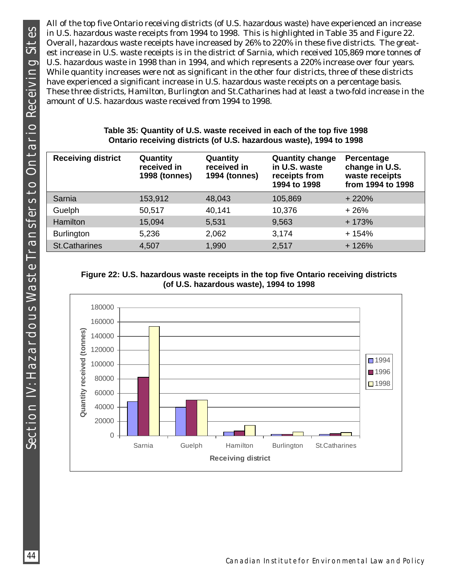SECTION IV: HAZARDOUS WASTE TRANSFERS TO ONTARIO RECEIVING SITES Section IV: Hazardous Waste Transfers to Ontario Receiving Sites

All of the top five Ontario receiving districts (of U.S. hazardous waste) have experienced an increase in U.S. hazardous waste receipts from 1994 to 1998. This is highlighted in Table 35 and Figure 22. Overall, hazardous waste receipts have increased by 26% to 220% in these five districts. The greatest increase in U.S. waste receipts is in the district of Sarnia, which received 105,869 more tonnes of U.S. hazardous waste in 1998 than in 1994, and which represents a 220% increase over four years. While quantity increases were not as significant in the other four districts, three of these districts have experienced a significant increase in U.S. hazardous waste receipts on a percentage basis. These three districts, Hamilton, Burlington and St.Catharines had at least a two-fold increase in the amount of U.S. hazardous waste received from 1994 to 1998.

|  |  | Table 35: Quantity of U.S. waste received in each of the top five 1998<br>Ontario receiving districts (of U.S. hazardous waste), 1994 to 1998 |  |  |  |
|--|--|-----------------------------------------------------------------------------------------------------------------------------------------------|--|--|--|
|  |  |                                                                                                                                               |  |  |  |

| <b>Receiving district</b> | Quantity<br>received in<br><b>1998 (tonnes)</b> | Quantity<br>received in<br><b>1994 (tonnes)</b> | <b>Quantity change</b><br>in U.S. waste<br>receipts from<br>1994 to 1998 | Percentage<br>change in U.S.<br>waste receipts<br>from 1994 to 1998 |
|---------------------------|-------------------------------------------------|-------------------------------------------------|--------------------------------------------------------------------------|---------------------------------------------------------------------|
| Sarnia                    | 153,912                                         | 48,043                                          | 105,869                                                                  | $+220%$                                                             |
| Guelph                    | 50,517                                          | 40,141                                          | 10,376                                                                   | $+26%$                                                              |
| Hamilton                  | 15,094                                          | 5,531                                           | 9,563                                                                    | $+173%$                                                             |
| <b>Burlington</b>         | 5,236                                           | 2,062                                           | 3,174                                                                    | $+154%$                                                             |
| <b>St.Catharines</b>      | 4,507                                           | 1,990                                           | 2,517                                                                    | $+126%$                                                             |

#### **Figure 22: U.S. hazardous waste receipts in the top five Ontario receiving districts (of U.S. hazardous waste), 1994 to 1998**

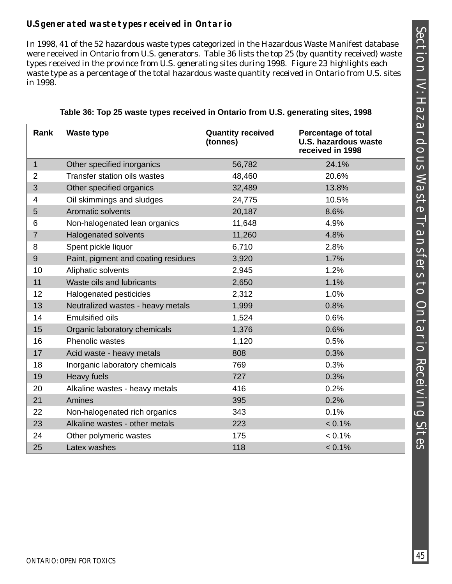## **U.S generated waste types received in Ontario**

In 1998, 41 of the 52 hazardous waste types categorized in the Hazardous Waste Manifest database were received in Ontario from U.S. generators. Table 36 lists the top 25 (by quantity received) waste types received in the province from U.S. generating sites during 1998. Figure 23 highlights each waste type as a percentage of the total hazardous waste quantity received in Ontario from U.S. sites in 1998.

| Rank           | <b>Waste type</b>                   | <b>Quantity received</b><br>(tonnes) | <b>Percentage of total</b><br><b>U.S. hazardous waste</b><br>received in 1998 |
|----------------|-------------------------------------|--------------------------------------|-------------------------------------------------------------------------------|
| $\mathbf{1}$   | Other specified inorganics          | 56,782                               | 24.1%                                                                         |
| $\overline{2}$ | <b>Transfer station oils wastes</b> | 48,460                               | 20.6%                                                                         |
| 3              | Other specified organics            | 32,489                               | 13.8%                                                                         |
| $\overline{4}$ | Oil skimmings and sludges           | 24,775                               | 10.5%                                                                         |
| 5              | Aromatic solvents                   | 20,187                               | 8.6%                                                                          |
| 6              | Non-halogenated lean organics       | 11,648                               | 4.9%                                                                          |
| $\overline{7}$ | <b>Halogenated solvents</b>         | 11,260                               | 4.8%                                                                          |
| 8              | Spent pickle liquor                 | 6,710                                | 2.8%                                                                          |
| 9              | Paint, pigment and coating residues | 3,920                                | 1.7%                                                                          |
| 10             | Aliphatic solvents                  | 2,945                                | 1.2%                                                                          |
| 11             | Waste oils and lubricants           | 2,650                                | 1.1%                                                                          |
| 12             | Halogenated pesticides              | 2,312                                | 1.0%                                                                          |
| 13             | Neutralized wastes - heavy metals   | 1,999                                | 0.8%                                                                          |
| 14             | <b>Emulsified oils</b>              | 1,524                                | 0.6%                                                                          |
| 15             | Organic laboratory chemicals        | 1,376                                | 0.6%                                                                          |
| 16             | Phenolic wastes                     | 1,120                                | 0.5%                                                                          |
| 17             | Acid waste - heavy metals           | 808                                  | 0.3%                                                                          |
| 18             | Inorganic laboratory chemicals      | 769                                  | 0.3%                                                                          |
| 19             | Heavy fuels                         | 727                                  | 0.3%                                                                          |
| 20             | Alkaline wastes - heavy metals      | 416                                  | 0.2%                                                                          |
| 21             | Amines                              | 395                                  | 0.2%                                                                          |
| 22             | Non-halogenated rich organics       | 343                                  | 0.1%                                                                          |
| 23             | Alkaline wastes - other metals      | 223                                  | $< 0.1\%$                                                                     |
| 24             | Other polymeric wastes              | 175                                  | $< 0.1\%$                                                                     |
| 25             | Latex washes                        | 118                                  | $< 0.1\%$                                                                     |

|  | Table 36: Top 25 waste types received in Ontario from U.S. generating sites, 1998 |  |
|--|-----------------------------------------------------------------------------------|--|
|  |                                                                                   |  |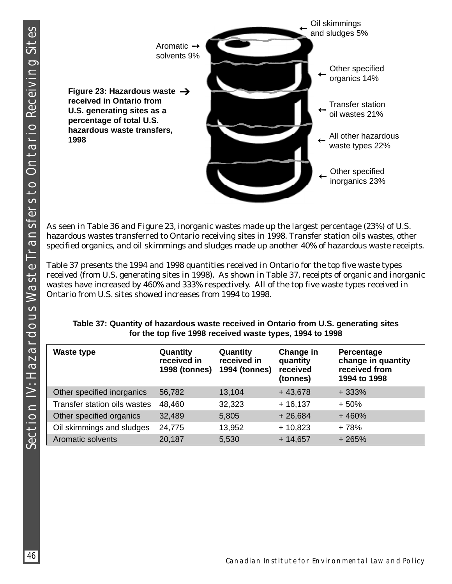

As seen in Table 36 and Figure 23, inorganic wastes made up the largest percentage (23%) of U.S. hazardous wastes transferred to Ontario receiving sites in 1998. Transfer station oils wastes, other specified organics, and oil skimmings and sludges made up another 40% of hazardous waste receipts.

Table 37 presents the 1994 and 1998 quantities received in Ontario for the top five waste types received (from U.S. generating sites in 1998). As shown in Table 37, receipts of organic and inorganic wastes have increased by 460% and 333% respectively. All of the top five waste types received in Ontario from U.S. sites showed increases from 1994 to 1998.

| <b>Waste type</b>            | Quantity<br>received in<br><b>1998 (tonnes)</b> | Quantity<br>received in<br><b>1994 (tonnes)</b> | Change in<br>quantity<br>received<br>(tonnes) | Percentage<br>change in quantity<br>received from<br>1994 to 1998 |
|------------------------------|-------------------------------------------------|-------------------------------------------------|-----------------------------------------------|-------------------------------------------------------------------|
| Other specified inorganics   | 56,782                                          | 13,104                                          | $+43,678$                                     | $+333%$                                                           |
| Transfer station oils wastes | 48,460                                          | 32,323                                          | $+16,137$                                     | $+50%$                                                            |
| Other specified organics     | 32,489                                          | 5,805                                           | $+26,684$                                     | $+460%$                                                           |
| Oil skimmings and sludges    | 24,775                                          | 13,952                                          | $+10,823$                                     | + 78%                                                             |
| <b>Aromatic solvents</b>     | 20,187                                          | 5,530                                           | $+14,657$                                     | $+265%$                                                           |

| Table 37: Quantity of hazardous waste received in Ontario from U.S. generating sites |
|--------------------------------------------------------------------------------------|
| for the top five 1998 received waste types, 1994 to 1998                             |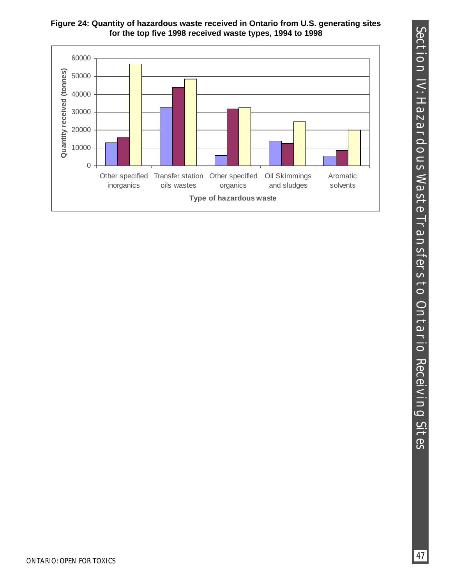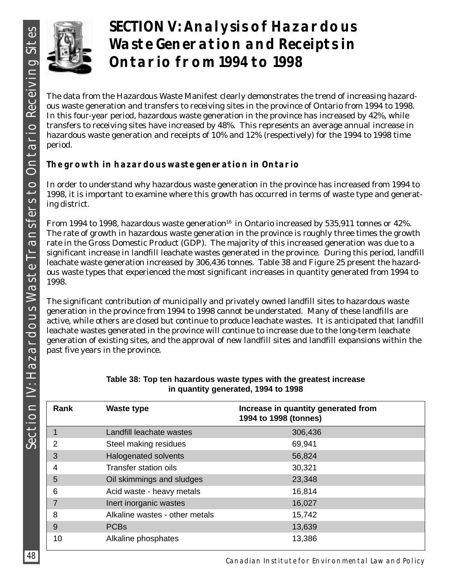

# **SECTION V: Analysis of Hazardous Waste Generation and Receipts in Ontario from 1994 to 1998**

The data from the Hazardous Waste Manifest clearly demonstrates the trend of increasing hazardous waste generation and transfers to receiving sites in the province of Ontario from 1994 to 1998. In this four-year period, hazardous waste generation in the province has increased by 42%, while transfers to receiving sites have increased by 48%. This represents an average annual increase in hazardous waste generation and receipts of 10% and 12% (respectively) for the 1994 to 1998 time period.

## **The growth in hazardous waste generation in Ontario**

In order to understand why hazardous waste generation in the province has increased from 1994 to 1998, it is important to examine where this growth has occurred in terms of waste type and generating district.

From 1994 to 1998, hazardous waste generation<sup>16</sup> in Ontario increased by 535,911 tonnes or 42%. The rate of growth in hazardous waste generation in the province is roughly three times the growth rate in the Gross Domestic Product (GDP). The majority of this increased generation was due to a significant increase in landfill leachate wastes generated in the province. During this period, landfill leachate waste generation increased by 306,436 tonnes. Table 38 and Figure 25 present the hazardous waste types that experienced the most significant increases in quantity generated from 1994 to 1998.

The significant contribution of municipally and privately owned landfill sites to hazardous waste generation in the province from 1994 to 1998 cannot be understated. Many of these landfills are active, while others are closed but continue to produce leachate wastes. It is anticipated that landfill leachate wastes generated in the province will continue to increase due to the long-term leachate generation of existing sites, and the approval of new landfill sites and landfill expansions within the past five years in the province.

| Rank | <b>Waste type</b>              | Increase in quantity generated from<br>1994 to 1998 (tonnes) |
|------|--------------------------------|--------------------------------------------------------------|
|      | Landfill leachate wastes       | 306,436                                                      |
| 2    | Steel making residues          | 69,941                                                       |
| 3    | <b>Halogenated solvents</b>    | 56,824                                                       |
| 4    | <b>Transfer station oils</b>   | 30,321                                                       |
| 5    | Oil skimmings and sludges      | 23,348                                                       |
| 6    | Acid waste - heavy metals      | 16,814                                                       |
|      | Inert inorganic wastes         | 16,027                                                       |
| 8    | Alkaline wastes - other metals | 15,742                                                       |
| 9    | <b>PCBs</b>                    | 13,639                                                       |
| 10   | Alkaline phosphates            | 13,386                                                       |

#### **Table 38: Top ten hazardous waste types with the greatest increase in quantity generated, 1994 to 1998**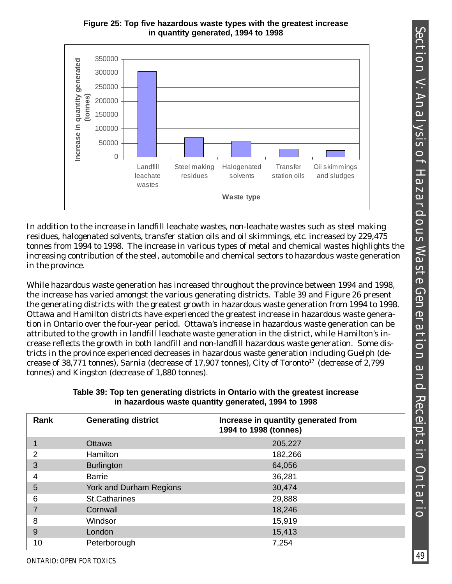



In addition to the increase in landfill leachate wastes, non-leachate wastes such as steel making residues, halogenated solvents, transfer station oils and oil skimmings, etc. increased by 229,475 tonnes from 1994 to 1998. The increase in various types of metal and chemical wastes highlights the increasing contribution of the steel, automobile and chemical sectors to hazardous waste generation in the province.

While hazardous waste generation has increased throughout the province between 1994 and 1998, the increase has varied amongst the various generating districts. Table 39 and Figure 26 present the generating districts with the greatest growth in hazardous waste generation from 1994 to 1998. Ottawa and Hamilton districts have experienced the greatest increase in hazardous waste generation in Ontario over the four-year period. Ottawa's increase in hazardous waste generation can be attributed to the growth in landfill leachate waste generation in the district, while Hamilton's increase reflects the growth in both landfill and non-landfill hazardous waste generation. Some districts in the province experienced decreases in hazardous waste generation including Guelph (decrease of 38,771 tonnes), Sarnia (decrease of 17,907 tonnes), City of Toronto17 (decrease of 2,799 tonnes) and Kingston (decrease of 1,880 tonnes).

| Rank | <b>Generating district</b> | Increase in quantity generated from<br>1994 to 1998 (tonnes) |
|------|----------------------------|--------------------------------------------------------------|
|      | Ottawa                     | 205,227                                                      |
| 2    | <b>Hamilton</b>            | 182,266                                                      |
| 3    | <b>Burlington</b>          | 64,056                                                       |
| 4    | <b>Barrie</b>              | 36,281                                                       |
| 5    | York and Durham Regions    | 30,474                                                       |
| 6    | <b>St.Catharines</b>       | 29,888                                                       |
|      | Cornwall                   | 18,246                                                       |
| 8    | Windsor                    | 15,919                                                       |
| 9    | London                     | 15,413                                                       |
| 10   | Peterborough               | 7,254                                                        |

**Table 39: Top ten generating districts in Ontario with the greatest increase in hazardous waste quantity generated, 1994 to 1998**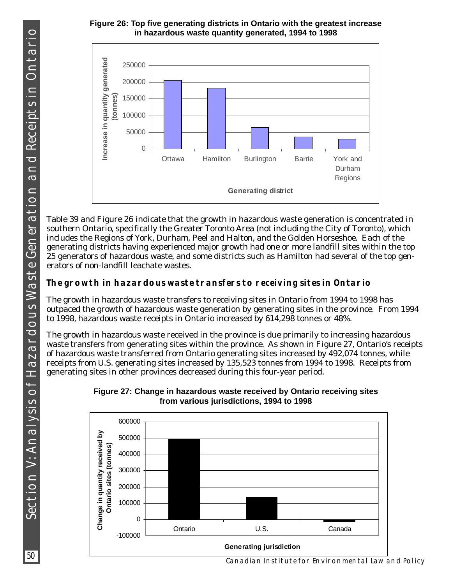#### **Figure 26: Top five generating districts in Ontario with the greatest increase in hazardous waste quantity generated, 1994 to 1998**



Table 39 and Figure 26 indicate that the growth in hazardous waste generation is concentrated in southern Ontario, specifically the Greater Toronto Area (not including the City of Toronto), which includes the Regions of York, Durham, Peel and Halton, and the Golden Horseshoe. Each of the generating districts having experienced major growth had one or more landfill sites within the top 25 generators of hazardous waste, and some districts such as Hamilton had several of the top generators of non-landfill leachate wastes.

## **The growth in hazardous waste transfers to receiving sites in Ontario**

The growth in hazardous waste transfers to receiving sites in Ontario from 1994 to 1998 has outpaced the growth of hazardous waste generation by generating sites in the province. From 1994 to 1998, hazardous waste receipts in Ontario increased by 614,298 tonnes or 48%.

The growth in hazardous waste received in the province is due primarily to increasing hazardous waste transfers from generating sites within the province. As shown in Figure 27, Ontario's receipts of hazardous waste transferred from Ontario generating sites increased by 492,074 tonnes, while receipts from U.S. generating sites increased by 135,523 tonnes from 1994 to 1998. Receipts from generating sites in other provinces decreased during this four-year period.



#### **Figure 27: Change in hazardous waste received by Ontario receiving sites from various jurisdictions, 1994 to 1998**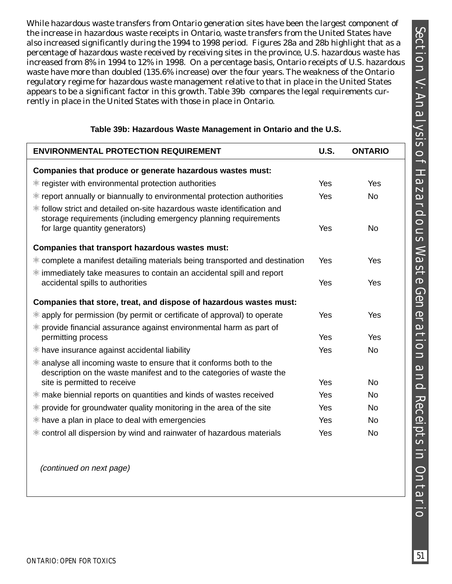While hazardous waste transfers from Ontario generation sites have been the largest component of the increase in hazardous waste receipts in Ontario, waste transfers from the United States have also increased significantly during the 1994 to 1998 period. Figures 28a and 28b highlight that as a percentage of hazardous waste received by receiving sites in the province, U.S. hazardous waste has increased from 8% in 1994 to 12% in 1998. On a percentage basis, Ontario receipts of U.S. hazardous waste have more than doubled (135.6% increase) over the four years. The weakness of the Ontario regulatory regime for hazardous waste management relative to that in place in the United States appears to be a significant factor in this growth. Table 39b compares the legal requirements currently in place in the United States with those in place in Ontario.

| <b>ENVIRONMENTAL PROTECTION REQUIREMENT</b>                                                                                                            | <b>U.S.</b> | <b>ONTARIO</b> |
|--------------------------------------------------------------------------------------------------------------------------------------------------------|-------------|----------------|
| Companies that produce or generate hazardous wastes must:                                                                                              |             |                |
| <sup>※</sup> register with environmental protection authorities                                                                                        | Yes         | Yes            |
| <sup>※</sup> report annually or biannually to environmental protection authorities                                                                     | Yes         | <b>No</b>      |
| <sup>\$</sup> follow strict and detailed on-site hazardous waste identification and<br>storage requirements (including emergency planning requirements |             |                |
| for large quantity generators)                                                                                                                         | Yes         | <b>No</b>      |
| Companies that transport hazardous wastes must:                                                                                                        |             |                |
| <sup>※</sup> complete a manifest detailing materials being transported and destination                                                                 | Yes         | Yes            |
| $*$ immediately take measures to contain an accidental spill and report<br>accidental spills to authorities                                            | Yes         | Yes            |
| Companies that store, treat, and dispose of hazardous wastes must:                                                                                     |             |                |
| <sup>※</sup> apply for permission (by permit or certificate of approval) to operate                                                                    | Yes         | Yes            |
| $*$ provide financial assurance against environmental harm as part of<br>permitting process                                                            | Yes         | Yes            |
| <sup>\$8</sup> have insurance against accidental liability                                                                                             | Yes         | No.            |
| $*$ analyse all incoming waste to ensure that it conforms both to the<br>description on the waste manifest and to the categories of waste the          |             |                |
| site is permitted to receive                                                                                                                           | Yes         | No             |
| <sup>※</sup> make biennial reports on quantities and kinds of wastes received                                                                          | Yes         | No             |
| <sup>※</sup> provide for groundwater quality monitoring in the area of the site                                                                        | Yes         | <b>No</b>      |
| <sup>※</sup> have a plan in place to deal with emergencies                                                                                             | Yes         | No             |
| <sup>※</sup> control all dispersion by wind and rainwater of hazardous materials                                                                       | Yes         | <b>No</b>      |

#### **Table 39b: Hazardous Waste Management in Ontario and the U.S.**

(continued on next page)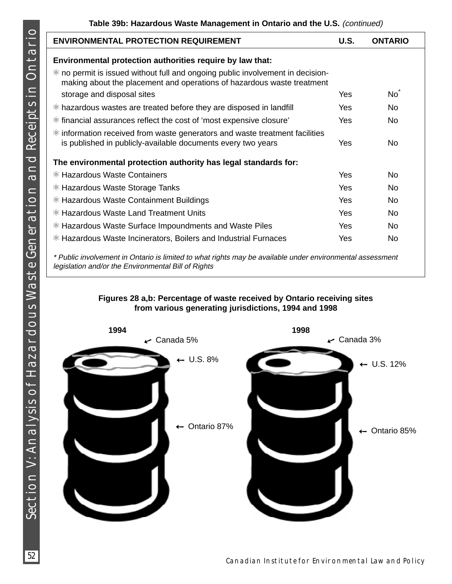| <b>ENVIRONMENTAL PROTECTION REQUIREMENT</b>                                                                                                              | U.S.       | <b>ONTARIO</b> |
|----------------------------------------------------------------------------------------------------------------------------------------------------------|------------|----------------|
| Environmental protection authorities require by law that:                                                                                                |            |                |
| * no permit is issued without full and ongoing public involvement in decision-<br>making about the placement and operations of hazardous waste treatment |            |                |
| storage and disposal sites                                                                                                                               | Yes        | No             |
| <sup>※</sup> hazardous wastes are treated before they are disposed in landfill                                                                           | <b>Yes</b> | No.            |
| <sup>*</sup> financial assurances reflect the cost of 'most expensive closure'                                                                           | Yes        | <b>No</b>      |
| * information received from waste generators and waste treatment facilities<br>is published in publicly-available documents every two years              | Yes        | No.            |
| The environmental protection authority has legal standards for:                                                                                          |            |                |
| <sup>※</sup> Hazardous Waste Containers                                                                                                                  | Yes        | No.            |
| <sup>\$</sup> Hazardous Waste Storage Tanks                                                                                                              | <b>Yes</b> | No.            |
| <sup>※</sup> Hazardous Waste Containment Buildings                                                                                                       | Yes        | <b>No</b>      |
| <sup>\$</sup> Hazardous Waste Land Treatment Units                                                                                                       | Yes        | <b>No</b>      |
| <sup>※</sup> Hazardous Waste Surface Impoundments and Waste Piles                                                                                        | Yes        | <b>No</b>      |
| <sup>※</sup> Hazardous Waste Incinerators, Boilers and Industrial Furnaces                                                                               | Yes        | <b>No</b>      |

limited to what rights may be available under environmental assessment legislation and/or the Environmental Bill of Rights

### **Figures 28 a,b: Percentage of waste received by Ontario receiving sites from various generating jurisdictions, 1994 and 1998**

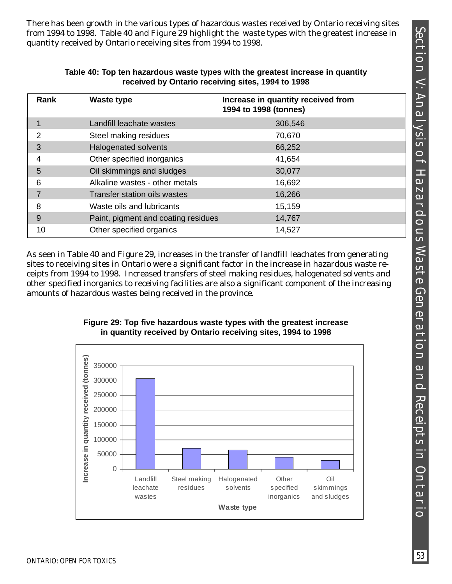There has been growth in the various types of hazardous wastes received by Ontario receiving sites from 1994 to 1998. Table 40 and Figure 29 highlight the waste types with the greatest increase in quantity received by Ontario receiving sites from 1994 to 1998.

| <b>ICCEIVED by UTIMITO ICCEIVING SILES, 1994 to 1990</b> |                                     |                                                             |  |
|----------------------------------------------------------|-------------------------------------|-------------------------------------------------------------|--|
| Rank                                                     | <b>Waste type</b>                   | Increase in quantity received from<br>1994 to 1998 (tonnes) |  |
|                                                          | Landfill leachate wastes            | 306,546                                                     |  |
| 2                                                        | Steel making residues               | 70,670                                                      |  |
| 3                                                        | Halogenated solvents                | 66,252                                                      |  |
| 4                                                        | Other specified inorganics          | 41,654                                                      |  |
| 5                                                        | Oil skimmings and sludges           | 30,077                                                      |  |
| 6                                                        | Alkaline wastes - other metals      | 16,692                                                      |  |
| 7                                                        | Transfer station oils wastes        | 16,266                                                      |  |
| 8                                                        | Waste oils and lubricants           | 15,159                                                      |  |
| 9                                                        | Paint, pigment and coating residues | 14,767                                                      |  |
| 10                                                       | Other specified organics            | 14,527                                                      |  |

#### **Table 40: Top ten hazardous waste types with the greatest increase in quantity received by Ontario receiving sites, 1994 to 1998**

As seen in Table 40 and Figure 29, increases in the transfer of landfill leachates from generating sites to receiving sites in Ontario were a significant factor in the increase in hazardous waste receipts from 1994 to 1998. Increased transfers of steel making residues, halogenated solvents and other specified inorganics to receiving facilities are also a significant component of the increasing amounts of hazardous wastes being received in the province.



Halogenated solvents

**Waste type**

**Other** specified inorganics

Oil skimmings and sludges

Steel making residues

### **Figure 29: Top five hazardous waste types with the greatest increase in quantity received by Ontario receiving sites, 1994 to 1998**

0

Landfill leachate wastes

50000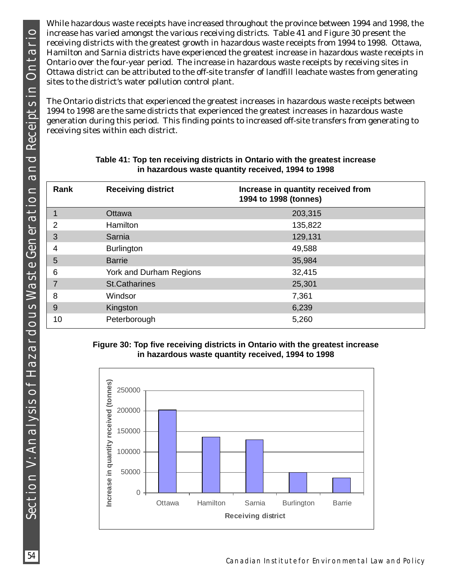While hazardous waste receipts have increased throughout the province between 1994 and 1998, the increase has varied amongst the various receiving districts. Table 41 and Figure 30 present the receiving districts with the greatest growth in hazardous waste receipts from 1994 to 1998. Ottawa, Hamilton and Sarnia districts have experienced the greatest increase in hazardous waste receipts in Ontario over the four-year period. The increase in hazardous waste receipts by receiving sites in Ottawa district can be attributed to the off-site transfer of landfill leachate wastes from generating sites to the district's water pollution control plant.

The Ontario districts that experienced the greatest increases in hazardous waste receipts between 1994 to 1998 are the same districts that experienced the greatest increases in hazardous waste generation during this period. This finding points to increased off-site transfers from generating to receiving sites within each district.

| Rank           | <b>Receiving district</b> | Increase in quantity received from<br>1994 to 1998 (tonnes) |
|----------------|---------------------------|-------------------------------------------------------------|
| $\mathbf 1$    | <b>Ottawa</b>             | 203,315                                                     |
| $\overline{2}$ | <b>Hamilton</b>           | 135,822                                                     |
| 3              | Sarnia                    | 129,131                                                     |
| 4              | <b>Burlington</b>         | 49,588                                                      |
| 5              | <b>Barrie</b>             | 35,984                                                      |
| 6              | York and Durham Regions   | 32,415                                                      |
| 7              | <b>St.Catharines</b>      | 25,301                                                      |
| 8              | Windsor                   | 7,361                                                       |
| 9              | Kingston                  | 6,239                                                       |
| 10             | Peterborough              | 5,260                                                       |

#### **Table 41: Top ten receiving districts in Ontario with the greatest increase in hazardous waste quantity received, 1994 to 1998**

#### **Figure 30: Top five receiving districts in Ontario with the greatest increase in hazardous waste quantity received, 1994 to 1998**

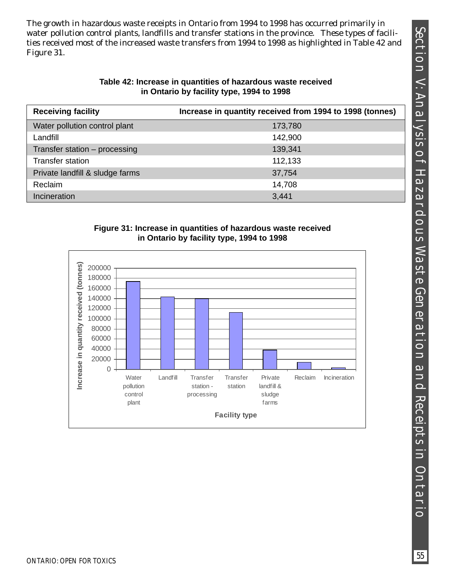SECTION V: ANALYSIS OF HAZARDOUS WASTE GENERATION AND RECEPTS IN ONTARIO Section V: Analysis of Hazardous Waste Generation and Receipts in Ontario

The growth in hazardous waste receipts in Ontario from 1994 to 1998 has occurred primarily in water pollution control plants, landfills and transfer stations in the province. These types of facilities received most of the increased waste transfers from 1994 to 1998 as highlighted in Table 42 and Figure 31.

#### **Table 42: Increase in quantities of hazardous waste received in Ontario by facility type, 1994 to 1998**

| <b>Receiving facility</b>       | Increase in quantity received from 1994 to 1998 (tonnes) |
|---------------------------------|----------------------------------------------------------|
| Water pollution control plant   | 173,780                                                  |
| Landfill                        | 142,900                                                  |
| Transfer station - processing   | 139,341                                                  |
| <b>Transfer station</b>         | 112,133                                                  |
| Private landfill & sludge farms | 37,754                                                   |
| Reclaim                         | 14,708                                                   |
| Incineration                    | 3,441                                                    |

#### **Figure 31: Increase in quantities of hazardous waste received in Ontario by facility type, 1994 to 1998**

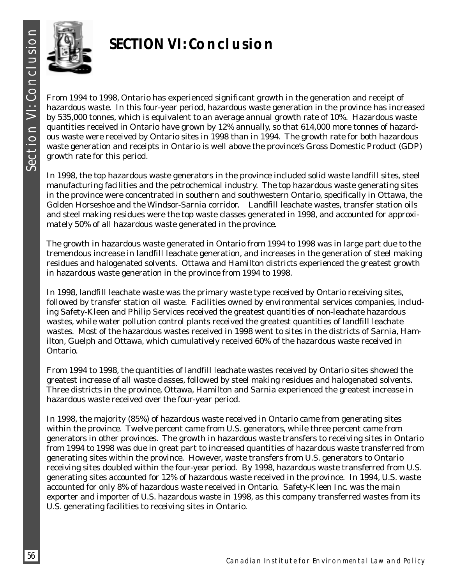

# **SECTION VI: Conclusion**

From 1994 to 1998, Ontario has experienced significant growth in the generation and receipt of hazardous waste. In this four-year period, hazardous waste generation in the province has increased by 535,000 tonnes, which is equivalent to an average annual growth rate of 10%. Hazardous waste quantities received in Ontario have grown by 12% annually, so that 614,000 more tonnes of hazardous waste were received by Ontario sites in 1998 than in 1994. The growth rate for both hazardous waste generation and receipts in Ontario is well above the province's Gross Domestic Product (GDP) growth rate for this period.

In 1998, the top hazardous waste generators in the province included solid waste landfill sites, steel manufacturing facilities and the petrochemical industry. The top hazardous waste generating sites in the province were concentrated in southern and southwestern Ontario, specifically in Ottawa, the Golden Horseshoe and the Windsor-Sarnia corridor. Landfill leachate wastes, transfer station oils and steel making residues were the top waste classes generated in 1998, and accounted for approximately 50% of all hazardous waste generated in the province.

The growth in hazardous waste generated in Ontario from 1994 to 1998 was in large part due to the tremendous increase in landfill leachate generation, and increases in the generation of steel making residues and halogenated solvents. Ottawa and Hamilton districts experienced the greatest growth in hazardous waste generation in the province from 1994 to 1998.

In 1998, landfill leachate waste was the primary waste type received by Ontario receiving sites, followed by transfer station oil waste. Facilities owned by environmental services companies, including Safety-Kleen and Philip Services received the greatest quantities of non-leachate hazardous wastes, while water pollution control plants received the greatest quantities of landfill leachate wastes. Most of the hazardous wastes received in 1998 went to sites in the districts of Sarnia, Hamilton, Guelph and Ottawa, which cumulatively received 60% of the hazardous waste received in Ontario.

From 1994 to 1998, the quantities of landfill leachate wastes received by Ontario sites showed the greatest increase of all waste classes, followed by steel making residues and halogenated solvents. Three districts in the province, Ottawa, Hamilton and Sarnia experienced the greatest increase in hazardous waste received over the four-year period.

In 1998, the majority (85%) of hazardous waste received in Ontario came from generating sites within the province. Twelve percent came from U.S. generators, while three percent came from generators in other provinces. The growth in hazardous waste transfers to receiving sites in Ontario from 1994 to 1998 was due in great part to increased quantities of hazardous waste transferred from generating sites within the province. However, waste transfers from U.S. generators to Ontario receiving sites doubled within the four-year period. By 1998, hazardous waste transferred from U.S. generating sites accounted for 12% of hazardous waste received in the province. In 1994, U.S. waste accounted for only 8% of hazardous waste received in Ontario. Safety-Kleen Inc. was the main exporter and importer of U.S. hazardous waste in 1998, as this company transferred wastes from its U.S. generating facilities to receiving sites in Ontario.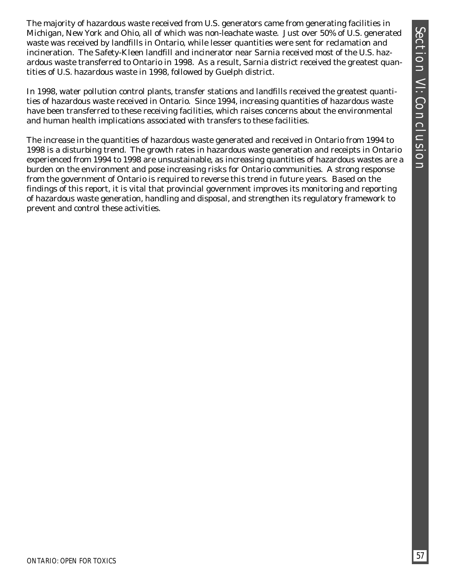The majority of hazardous waste received from U.S. generators came from generating facilities in Michigan, New York and Ohio, all of which was non-leachate waste. Just over 50% of U.S. generated waste was received by landfills in Ontario, while lesser quantities were sent for reclamation and incineration. The Safety-Kleen landfill and incinerator near Sarnia received most of the U.S. hazardous waste transferred to Ontario in 1998. As a result, Sarnia district received the greatest quantities of U.S. hazardous waste in 1998, followed by Guelph district.

In 1998, water pollution control plants, transfer stations and landfills received the greatest quantities of hazardous waste received in Ontario. Since 1994, increasing quantities of hazardous waste have been transferred to these receiving facilities, which raises concerns about the environmental and human health implications associated with transfers to these facilities.

The increase in the quantities of hazardous waste generated and received in Ontario from 1994 to 1998 is a disturbing trend. The growth rates in hazardous waste generation and receipts in Ontario experienced from 1994 to 1998 are unsustainable, as increasing quantities of hazardous wastes are a burden on the environment and pose increasing risks for Ontario communities. A strong response from the government of Ontario is required to reverse this trend in future years. Based on the findings of this report, it is vital that provincial government improves its monitoring and reporting of hazardous waste generation, handling and disposal, and strengthen its regulatory framework to prevent and control these activities.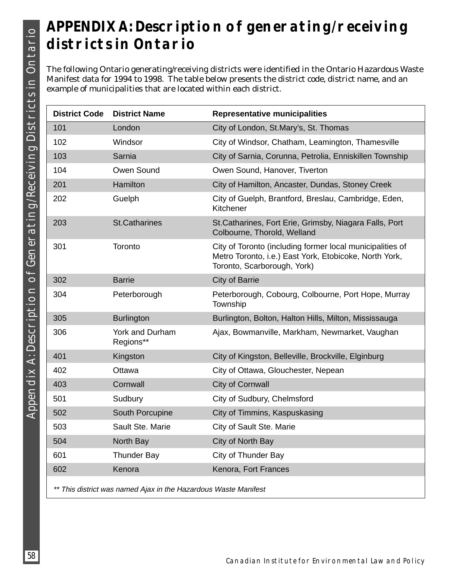# **APPENDIX A: Description of generating/receiving districts in Ontario**

The following Ontario generating/receiving districts were identified in the Ontario Hazardous Waste Manifest data for 1994 to 1998. The table below presents the district code, district name, and an example of municipalities that are located within each district.

| <b>District Code</b>                                            | <b>District Name</b>                | <b>Representative municipalities</b>                                                                                                               |  |
|-----------------------------------------------------------------|-------------------------------------|----------------------------------------------------------------------------------------------------------------------------------------------------|--|
| 101                                                             | London                              | City of London, St.Mary's, St. Thomas                                                                                                              |  |
| 102                                                             | Windsor                             | City of Windsor, Chatham, Leamington, Thamesville                                                                                                  |  |
| 103                                                             | Sarnia                              | City of Sarnia, Corunna, Petrolia, Enniskillen Township                                                                                            |  |
| 104                                                             | Owen Sound                          | Owen Sound, Hanover, Tiverton                                                                                                                      |  |
| 201                                                             | Hamilton                            | City of Hamilton, Ancaster, Dundas, Stoney Creek                                                                                                   |  |
| 202                                                             | Guelph                              | City of Guelph, Brantford, Breslau, Cambridge, Eden,<br>Kitchener                                                                                  |  |
| 203                                                             | <b>St.Catharines</b>                | St. Catharines, Fort Erie, Grimsby, Niagara Falls, Port<br>Colbourne, Thorold, Welland                                                             |  |
| 301                                                             | Toronto                             | City of Toronto (including former local municipalities of<br>Metro Toronto, i.e.) East York, Etobicoke, North York,<br>Toronto, Scarborough, York) |  |
| 302                                                             | <b>Barrie</b>                       | City of Barrie                                                                                                                                     |  |
| 304                                                             | Peterborough                        | Peterborough, Cobourg, Colbourne, Port Hope, Murray<br>Township                                                                                    |  |
| 305                                                             | <b>Burlington</b>                   | Burlington, Bolton, Halton Hills, Milton, Mississauga                                                                                              |  |
| 306                                                             | <b>York and Durham</b><br>Regions** | Ajax, Bowmanville, Markham, Newmarket, Vaughan                                                                                                     |  |
| 401                                                             | Kingston                            | City of Kingston, Belleville, Brockville, Elginburg                                                                                                |  |
| 402                                                             | Ottawa                              | City of Ottawa, Glouchester, Nepean                                                                                                                |  |
| 403                                                             | Cornwall                            | City of Cornwall                                                                                                                                   |  |
| 501                                                             | Sudbury                             | City of Sudbury, Chelmsford                                                                                                                        |  |
| 502                                                             | South Porcupine                     | City of Timmins, Kaspuskasing                                                                                                                      |  |
| 503                                                             | Sault Ste. Marie                    | City of Sault Ste. Marie                                                                                                                           |  |
| 504                                                             | North Bay                           | City of North Bay                                                                                                                                  |  |
| 601                                                             | <b>Thunder Bay</b>                  | City of Thunder Bay                                                                                                                                |  |
| 602                                                             | Kenora                              | Kenora, Fort Frances                                                                                                                               |  |
| ** This district was named Ajax in the Hazardous Waste Manifest |                                     |                                                                                                                                                    |  |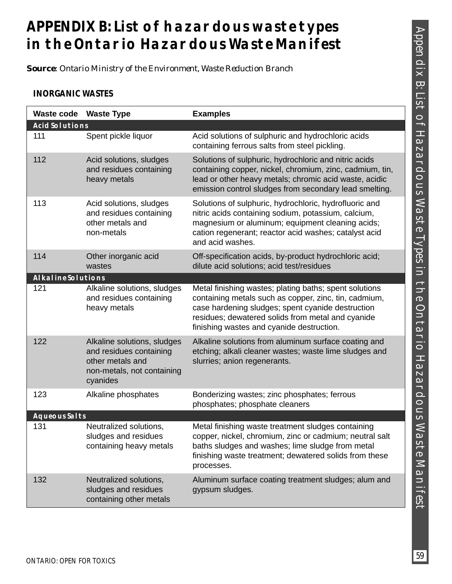# **APPENDIX B: List of hazardous waste types in the Ontario Hazardous Waste Manifest**

*Source: Ontario Ministry of the Environment, Waste Reduction Branch*

## **INORGANIC WASTES**

| <b>Waste code</b>         | <b>Waste Type</b>                                                                                                    | <b>Examples</b>                                                                                                                                                                                                                                                        |
|---------------------------|----------------------------------------------------------------------------------------------------------------------|------------------------------------------------------------------------------------------------------------------------------------------------------------------------------------------------------------------------------------------------------------------------|
| <b>ACID SOLUTIONS</b>     |                                                                                                                      |                                                                                                                                                                                                                                                                        |
| 111                       | Spent pickle liquor                                                                                                  | Acid solutions of sulphuric and hydrochloric acids<br>containing ferrous salts from steel pickling.                                                                                                                                                                    |
| 112                       | Acid solutions, sludges<br>and residues containing<br>heavy metals                                                   | Solutions of sulphuric, hydrochloric and nitric acids<br>containing copper, nickel, chromium, zinc, cadmium, tin,<br>lead or other heavy metals; chromic acid waste, acidic<br>emission control sludges from secondary lead smelting.                                  |
| 113                       | Acid solutions, sludges<br>and residues containing<br>other metals and<br>non-metals                                 | Solutions of sulphuric, hydrochloric, hydrofluoric and<br>nitric acids containing sodium, potassium, calcium,<br>magnesium or aluminum; equipment cleaning acids;<br>cation regenerant; reactor acid washes; catalyst acid<br>and acid washes.                         |
| 114                       | Other inorganic acid<br>wastes                                                                                       | Off-specification acids, by-product hydrochloric acid;<br>dilute acid solutions; acid test/residues                                                                                                                                                                    |
| <b>ALKALINE SOLUTIONS</b> |                                                                                                                      |                                                                                                                                                                                                                                                                        |
| 121                       | Alkaline solutions, sludges<br>and residues containing<br>heavy metals                                               | Metal finishing wastes; plating baths; spent solutions<br>containing metals such as copper, zinc, tin, cadmium,<br>case hardening sludges; spent cyanide destruction<br>residues; dewatered solids from metal and cyanide<br>finishing wastes and cyanide destruction. |
| 122                       | Alkaline solutions, sludges<br>and residues containing<br>other metals and<br>non-metals, not containing<br>cyanides | Alkaline solutions from aluminum surface coating and<br>etching; alkali cleaner wastes; waste lime sludges and<br>slurries; anion regenerants.                                                                                                                         |
| 123                       | Alkaline phosphates                                                                                                  | Bonderizing wastes; zinc phosphates; ferrous<br>phosphates; phosphate cleaners                                                                                                                                                                                         |
| <b>AQUEOUS SALTS</b>      |                                                                                                                      |                                                                                                                                                                                                                                                                        |
| 131                       | Neutralized solutions,<br>sludges and residues<br>containing heavy metals                                            | Metal finishing waste treatment sludges containing<br>copper, nickel, chromium, zinc or cadmium; neutral salt<br>baths sludges and washes; lime sludge from metal<br>finishing waste treatment; dewatered solids from these<br>processes.                              |
| 132                       | Neutralized solutions,<br>sludges and residues<br>containing other metals                                            | Aluminum surface coating treatment sludges; alum and<br>gypsum sludges.                                                                                                                                                                                                |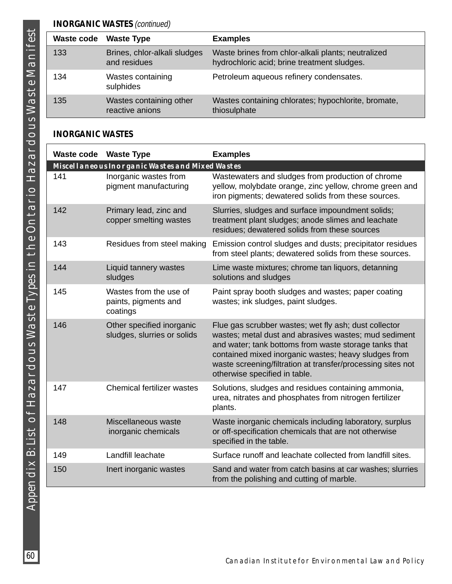| Waste code | <b>Waste Type</b>                            | <b>Examples</b>                                                                                   |
|------------|----------------------------------------------|---------------------------------------------------------------------------------------------------|
| 133        | Brines, chlor-alkali sludges<br>and residues | Waste brines from chlor-alkali plants; neutralized<br>hydrochloric acid; brine treatment sludges. |
| 134        | Wastes containing<br>sulphides               | Petroleum aqueous refinery condensates.                                                           |
| 135        | Wastes containing other<br>reactive anions   | Wastes containing chlorates; hypochlorite, bromate,<br>thiosulphate                               |

## **INORGANIC WASTES**

| <b>Waste code Waste Type</b> |                                                            | <b>Examples</b>                                                                                                                                                                                                                                                                                                                 |
|------------------------------|------------------------------------------------------------|---------------------------------------------------------------------------------------------------------------------------------------------------------------------------------------------------------------------------------------------------------------------------------------------------------------------------------|
|                              | <b>MISCELLANEOUS INORGANIC WASTES AND MIXED WASTES</b>     |                                                                                                                                                                                                                                                                                                                                 |
| 141                          | Inorganic wastes from<br>pigment manufacturing             | Wastewaters and sludges from production of chrome<br>yellow, molybdate orange, zinc yellow, chrome green and<br>iron pigments; dewatered solids from these sources.                                                                                                                                                             |
| 142                          | Primary lead, zinc and<br>copper smelting wastes           | Slurries, sludges and surface impoundment solids;<br>treatment plant sludges; anode slimes and leachate<br>residues; dewatered solids from these sources                                                                                                                                                                        |
| 143                          | Residues from steel making                                 | Emission control sludges and dusts; precipitator residues<br>from steel plants; dewatered solids from these sources.                                                                                                                                                                                                            |
| 144                          | Liquid tannery wastes<br>sludges                           | Lime waste mixtures; chrome tan liquors, detanning<br>solutions and sludges                                                                                                                                                                                                                                                     |
| 145                          | Wastes from the use of<br>paints, pigments and<br>coatings | Paint spray booth sludges and wastes; paper coating<br>wastes; ink sludges, paint sludges.                                                                                                                                                                                                                                      |
| 146                          | Other specified inorganic<br>sludges, slurries or solids   | Flue gas scrubber wastes; wet fly ash; dust collector<br>wastes; metal dust and abrasives wastes; mud sediment<br>and water; tank bottoms from waste storage tanks that<br>contained mixed inorganic wastes; heavy sludges from<br>waste screening/filtration at transfer/processing sites not<br>otherwise specified in table. |
| 147                          | <b>Chemical fertilizer wastes</b>                          | Solutions, sludges and residues containing ammonia,<br>urea, nitrates and phosphates from nitrogen fertilizer<br>plants.                                                                                                                                                                                                        |
| 148                          | Miscellaneous waste<br>inorganic chemicals                 | Waste inorganic chemicals including laboratory, surplus<br>or off-specification chemicals that are not otherwise<br>specified in the table.                                                                                                                                                                                     |
| 149                          | Landfill leachate                                          | Surface runoff and leachate collected from landfill sites.                                                                                                                                                                                                                                                                      |
| 150                          | Inert inorganic wastes                                     | Sand and water from catch basins at car washes; slurries<br>from the polishing and cutting of marble.                                                                                                                                                                                                                           |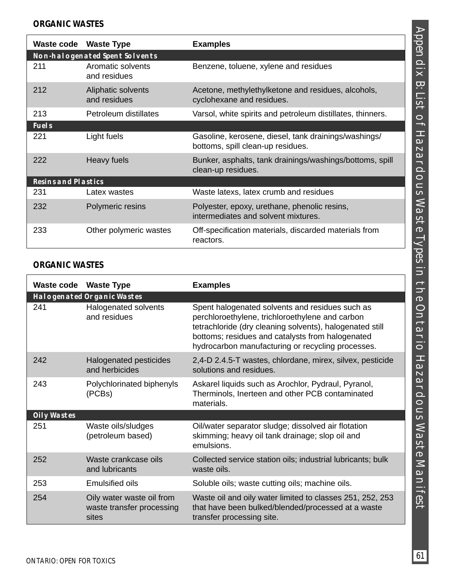|                            | Waste code Waste Type                 | <b>Examples</b>                                                                           |
|----------------------------|---------------------------------------|-------------------------------------------------------------------------------------------|
|                            | <b>NON-HALOGENATED SPENT SOLVENTS</b> |                                                                                           |
| 211                        | Aromatic solvents<br>and residues     | Benzene, toluene, xylene and residues                                                     |
| 212                        | Aliphatic solvents<br>and residues    | Acetone, methylethylketone and residues, alcohols,<br>cyclohexane and residues.           |
| 213                        | Petroleum distillates                 | Varsol, white spirits and petroleum distillates, thinners.                                |
| <b>FUELS</b>               |                                       |                                                                                           |
| 221                        | Light fuels                           | Gasoline, kerosene, diesel, tank drainings/washings/<br>bottoms, spill clean-up residues. |
| 222                        | Heavy fuels                           | Bunker, asphalts, tank drainings/washings/bottoms, spill<br>clean-up residues.            |
| <b>RESINS AND PLASTICS</b> |                                       |                                                                                           |
| 231                        | Latex wastes                          | Waste latexs, latex crumb and residues                                                    |
| 232                        | Polymeric resins                      | Polyester, epoxy, urethane, phenolic resins,<br>intermediates and solvent mixtures.       |
| 233                        | Other polymeric wastes                | Off-specification materials, discarded materials from<br>reactors.                        |

## **ORGANIC WASTES**

|                    | Waste code Waste Type                                           | <b>Examples</b>                                                                                                                                                                                                                                                         |
|--------------------|-----------------------------------------------------------------|-------------------------------------------------------------------------------------------------------------------------------------------------------------------------------------------------------------------------------------------------------------------------|
|                    | <b>HALOGENATED ORGANIC WASTES</b>                               |                                                                                                                                                                                                                                                                         |
| 241                | Halogenated solvents<br>and residues                            | Spent halogenated solvents and residues such as<br>perchloroethylene, trichloroethylene and carbon<br>tetrachloride (dry cleaning solvents), halogenated still<br>bottoms; residues and catalysts from halogenated<br>hydrocarbon manufacturing or recycling processes. |
| 242                | Halogenated pesticides<br>and herbicides                        | 2,4-D 2.4.5-T wastes, chlordane, mirex, silvex, pesticide<br>solutions and residues.                                                                                                                                                                                    |
| 243                | Polychlorinated biphenyls<br>(PCBs)                             | Askarel liquids such as Arochlor, Pydraul, Pyranol,<br>Therminols, Inerteen and other PCB contaminated<br>materials.                                                                                                                                                    |
| <b>OILY WASTES</b> |                                                                 |                                                                                                                                                                                                                                                                         |
| 251                | Waste oils/sludges<br>(petroleum based)                         | Oil/water separator sludge; dissolved air flotation<br>skimming; heavy oil tank drainage; slop oil and<br>emulsions.                                                                                                                                                    |
| 252                | Waste crankcase oils<br>and lubricants                          | Collected service station oils; industrial lubricants; bulk<br>waste oils.                                                                                                                                                                                              |
| 253                | Emulsified oils                                                 | Soluble oils; waste cutting oils; machine oils.                                                                                                                                                                                                                         |
| 254                | Oily water waste oil from<br>waste transfer processing<br>sites | Waste oil and oily water limited to classes 251, 252, 253<br>that have been bulked/blended/processed at a waste<br>transfer processing site.                                                                                                                            |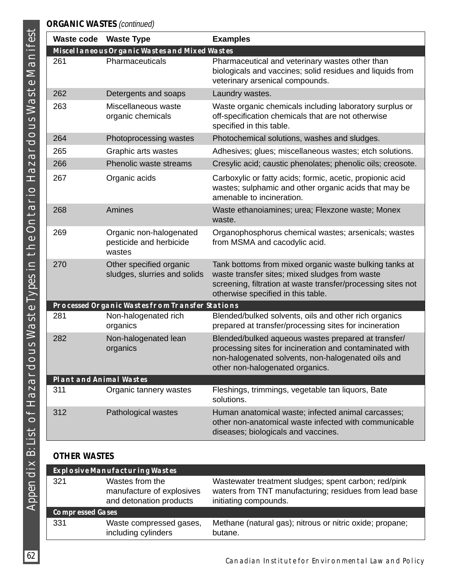## **ORGANIC WASTES** (continued)

| <b>Waste code</b>       | <b>Waste Type</b>                                            | <b>Examples</b>                                                                                                                                                                                                |
|-------------------------|--------------------------------------------------------------|----------------------------------------------------------------------------------------------------------------------------------------------------------------------------------------------------------------|
|                         | MISCELLANEOUS ORGANIC WASTES AND MIXED WASTES                |                                                                                                                                                                                                                |
| 261                     | Pharmaceuticals                                              | Pharmaceutical and veterinary wastes other than<br>biologicals and vaccines; solid residues and liquids from<br>veterinary arsenical compounds.                                                                |
| 262                     | Detergents and soaps                                         | Laundry wastes.                                                                                                                                                                                                |
| 263                     | Miscellaneous waste<br>organic chemicals                     | Waste organic chemicals including laboratory surplus or<br>off-specification chemicals that are not otherwise<br>specified in this table.                                                                      |
| 264                     | Photoprocessing wastes                                       | Photochemical solutions, washes and sludges.                                                                                                                                                                   |
| 265                     | Graphic arts wastes                                          | Adhesives; glues; miscellaneous wastes; etch solutions.                                                                                                                                                        |
| 266                     | Phenolic waste streams                                       | Cresylic acid; caustic phenolates; phenolic oils; creosote.                                                                                                                                                    |
| 267                     | Organic acids                                                | Carboxylic or fatty acids; formic, acetic, propionic acid<br>wastes; sulphamic and other organic acids that may be<br>amenable to incineration.                                                                |
| 268                     | Amines                                                       | Waste ethanoiamines; urea; Flexzone waste; Monex<br>waste.                                                                                                                                                     |
| 269                     | Organic non-halogenated<br>pesticide and herbicide<br>wastes | Organophosphorus chemical wastes; arsenicals; wastes<br>from MSMA and cacodylic acid.                                                                                                                          |
| 270                     | Other specified organic<br>sludges, slurries and solids      | Tank bottoms from mixed organic waste bulking tanks at<br>waste transfer sites; mixed sludges from waste<br>screening, filtration at waste transfer/processing sites not<br>otherwise specified in this table. |
|                         | PROCESSED ORGANIC WASTES FROM TRANSFER STATIONS              |                                                                                                                                                                                                                |
| 281                     | Non-halogenated rich<br>organics                             | Blended/bulked solvents, oils and other rich organics<br>prepared at transfer/processing sites for incineration                                                                                                |
| 282                     | Non-halogenated lean<br>organics                             | Blended/bulked aqueous wastes prepared at transfer/<br>processing sites for incineration and contaminated with<br>non-halogenated solvents, non-halogenated oils and<br>other non-halogenated organics.        |
| PLANT AND ANIMAL WASTES |                                                              |                                                                                                                                                                                                                |
| 311                     | Organic tannery wastes                                       | Fleshings, trimmings, vegetable tan liquors, Bate<br>solutions.                                                                                                                                                |
| 312                     | Pathological wastes                                          | Human anatomical waste; infected animal carcasses;<br>other non-anatomical waste infected with communicable<br>diseases; biologicals and vaccines.                                                             |

## **OTHER WASTES**

|                         | <b>EXPLOSIVE MANUFACTURING WASTES</b>                                   |                                                                                                                                         |
|-------------------------|-------------------------------------------------------------------------|-----------------------------------------------------------------------------------------------------------------------------------------|
| 321                     | Wastes from the<br>manufacture of explosives<br>and detonation products | Wastewater treatment sludges; spent carbon; red/pink<br>waters from TNT manufacturing; residues from lead base<br>initiating compounds. |
| <b>COMPRESSED GASES</b> |                                                                         |                                                                                                                                         |
| 331                     | Waste compressed gases,<br>including cylinders                          | Methane (natural gas); nitrous or nitric oxide; propane;<br>butane.                                                                     |